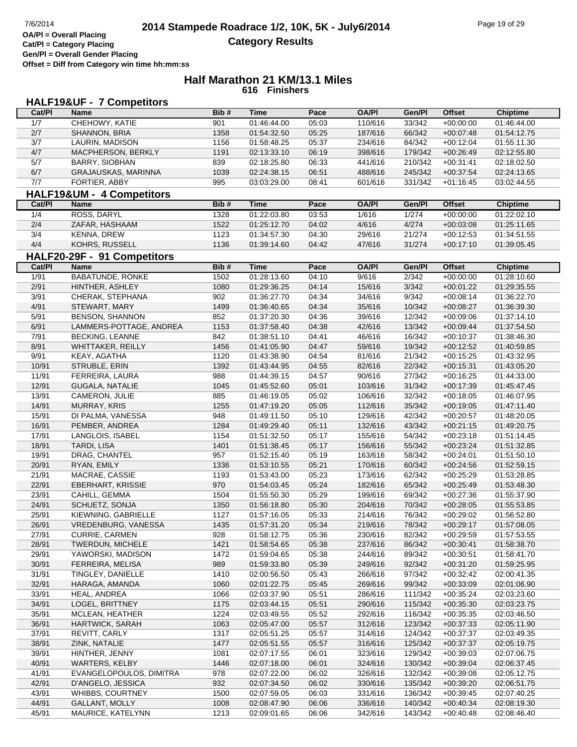# **HALF19&UF - 7 Competitors**

| Cat/PI           | Name                        | Bib# | <b>Time</b> | Pace  | <b>OA/PI</b> | Gen/Pl  | <b>Offset</b> | <b>Chiptime</b> |
|------------------|-----------------------------|------|-------------|-------|--------------|---------|---------------|-----------------|
| 1/7              | CHEHOWY, KATIE              | 901  | 01:46:44.00 | 05:03 | 110/616      | 33/342  | $+00:00:00$   | 01:46:44.00     |
| 2/7              | SHANNON, BRIA               | 1358 | 01:54:32.50 | 05:25 | 187/616      | 66/342  | $+00:07:48$   | 01:54:12.75     |
| $\overline{3/7}$ | LAURIN, MADISON             | 1156 | 01:58:48.25 | 05:37 | 234/616      | 84/342  | $+00:12:04$   | 01:55:11.30     |
| 4/7              | MACPHERSON, BERKLY          | 1191 | 02:13:33.10 | 06:19 | 398/616      | 179/342 | $+00:26:49$   | 02:12:55.80     |
| 5/7              | BARRY, SIOBHAN              | 839  | 02:18:25.80 | 06:33 | 441/616      | 210/342 | $+00:31:41$   | 02:18:02.50     |
| 6/7              | GRAJAUSKAS, MARINNA         | 1039 | 02:24:38.15 | 06:51 | 488/616      | 245/342 | $+00:37:54$   | 02:24:13.65     |
| 7/7              | FORTIER, ABBY               | 995  | 03:03:29.00 | 08:41 | 601/616      | 331/342 | $+01:16:45$   | 03:02:44.55     |
|                  | HALF19&UM - 4 Competitors   |      |             |       |              |         |               |                 |
| Cat/PI           |                             | Bib# | <b>Time</b> |       | <b>OA/PI</b> |         | <b>Offset</b> |                 |
|                  | Name                        |      |             | Pace  |              | Gen/Pl  |               | <b>Chiptime</b> |
| 1/4              | ROSS, DARYL                 | 1328 | 01:22:03.80 | 03:53 | 1/616        | 1/274   | $+00:00:00$   | 01:22:02.10     |
| 2/4              | ZAFAR, HASHAAM              | 1522 | 01:25:12.70 | 04:02 | 4/616        | 4/274   | $+00:03:08$   | 01:25:11.65     |
| 3/4              | <b>KENNA, DREW</b>          | 1123 | 01:34:57.30 | 04:30 | 29/616       | 21/274  | $+00:12:53$   | 01:34:51.55     |
| 4/4              | KOHRS, RUSSELL              | 1136 | 01:39:14.60 | 04:42 | 47/616       | 31/274  | $+00:17:10$   | 01:39:05.45     |
|                  | HALF20-29F - 91 Competitors |      |             |       |              |         |               |                 |
| Cat/PI           | Name                        | Bib# | <b>Time</b> | Pace  | <b>OA/PI</b> | Gen/Pl  | <b>Offset</b> | <b>Chiptime</b> |
| 1/91             | <b>BABATUNDE, RONKE</b>     | 1502 | 01:28:13.60 | 04:10 | 9/616        | 2/342   | $+00:00:00$   | 01:28:10.60     |
| 2/91             | HINTHER, ASHLEY             | 1080 | 01:29:36.25 | 04:14 | 15/616       | 3/342   | $+00:01:22$   | 01:29:35.55     |
| 3/91             | CHERAK, STEPHANA            | 902  | 01:36:27.70 | 04:34 | 34/616       | 9/342   | $+00:08:14$   | 01:36:22.70     |
| 4/91             | STEWART, MARY               | 1499 | 01:36:40.65 | 04:34 | 35/616       | 10/342  | $+00:08:27$   | 01:36:39.30     |
| 5/91             | BENSON, SHANNON             | 852  | 01:37:20.30 | 04:36 | 39/616       | 12/342  | $+00:09:06$   | 01:37:14.10     |
| 6/91             | LAMMERS-POTTAGE, ANDREA     | 1153 | 01:37:58.40 | 04:38 | 42/616       | 13/342  | $+00:09:44$   | 01:37:54.50     |
| 7/91             | <b>BECKING, LEANNE</b>      | 842  | 01:38:51.10 | 04:41 | 46/616       | 16/342  | $+00:10:37$   | 01:38:46.30     |
| 8/91             | <b>WHITTAKER, REILLY</b>    | 1456 | 01:41:05.90 | 04:47 | 59/616       | 19/342  | $+00:12:52$   | 01:40:59.85     |
| 9/91             | KEAY, AGATHA                | 1120 | 01:43:38.90 | 04:54 | 81/616       | 21/342  | $+00:15:25$   | 01:43:32.95     |
| 10/91            | STRUBLE, ERIN               | 1392 | 01:43:44.95 | 04:55 | 82/616       | 22/342  | $+00:15:31$   | 01:43:05.20     |
| 11/91            | FERREIRA, LAURA             | 988  | 01:44:39.15 | 04:57 | 90/616       | 27/342  | $+00:16:25$   | 01:44:33.00     |
| 12/91            | GUGALA, NATALIE             | 1045 | 01:45:52.60 | 05:01 | 103/616      | 31/342  | $+00:17:39$   | 01:45:47.45     |
| 13/91            | CAMERON, JULIE              | 885  | 01:46:19.05 | 05:02 | 106/616      | 32/342  | $+00:18:05$   | 01:46:07.95     |
| 14/91            | MURRAY, KRIS                | 1255 | 01:47:19.20 | 05:05 | 112/616      | 35/342  | $+00:19:05$   | 01:47:11.40     |
| 15/91            | DI PALMA, VANESSA           | 948  | 01:49:11.50 | 05:10 | 129/616      | 42/342  | $+00:20:57$   | 01:48:20.05     |
| 16/91            | PEMBER, ANDREA              | 1284 | 01:49:29.40 | 05:11 | 132/616      | 43/342  | $+00:21:15$   | 01:49:20.75     |
| 17/91            | LANGLOIS, ISABEL            | 1154 | 01:51:32.50 | 05:17 | 155/616      | 54/342  | $+00:23:18$   | 01:51:14.45     |
| 18/91            | TARDI, LISA                 | 1401 | 01:51:38.45 | 05:17 | 156/616      | 55/342  | $+00:23:24$   | 01:51:32.85     |
| 19/91            | DRAG, CHANTEL               | 957  | 01:52:15.40 | 05:19 | 163/616      | 58/342  | $+00:24:01$   | 01:51:50.10     |
| 20/91            | RYAN, EMILY                 | 1336 | 01:53:10.55 | 05:21 | 170/616      | 60/342  | $+00:24:56$   | 01:52:59.15     |
| 21/91            | MACRAE, CASSIE              | 1193 | 01:53:43.00 | 05:23 | 173/616      | 62/342  | $+00:25:29$   | 01:53:28.85     |
| 22/91            | <b>EBERHART, KRISSIE</b>    | 970  | 01:54:03.45 | 05:24 | 182/616      | 65/342  | $+00:25:49$   | 01:53:48.30     |
| 23/91            | CAHILL, GEMMA               | 1504 | 01:55:50.30 | 05:29 | 199/616      | 69/342  | $+00:27:36$   | 01:55:37.90     |
| 24/91            | SCHUETZ, SONJA              | 1350 | 01:56:18.80 | 05:30 | 204/616      | 70/342  | $+00:28:05$   | 01:55:53.85     |
| 25/91            | KIEWNING, GABRIELLE         | 1127 | 01:57:16.05 | 05:33 | 214/616      | 76/342  | $+00:29:02$   | 01:56:52.80     |
| 26/91            | VREDENBURG, VANESSA         | 1435 | 01:57:31.20 | 05:34 | 219/616      | 78/342  | $+00:29:17$   | 01:57:08.05     |
| 27/91            | CURRIE, CARMEN              | 928  | 01:58:12.75 | 05:36 | 230/616      | 82/342  | $+00:29:59$   | 01:57:53.55     |
| 28/91            | TWERDUN, MICHELE            | 1421 | 01:58:54.65 | 05:38 | 237/616      | 86/342  | $+00:30:41$   | 01:58:38.70     |
| 29/91            | YAWORSKI, MADISON           | 1472 | 01:59:04.65 | 05:38 | 244/616      | 89/342  | $+00:30:51$   | 01:58:41.70     |
| 30/91            | FERREIRA, MELISA            | 989  | 01:59:33.80 | 05:39 | 249/616      | 92/342  | $+00:31:20$   | 01:59:25.95     |
| 31/91            | TINGLEY, DANIELLE           | 1410 | 02:00:56.50 | 05:43 | 266/616      | 97/342  | $+00:32:42$   | 02:00:41.35     |
| 32/91            | HARAGA, AMANDA              | 1060 | 02:01:22.75 | 05:45 | 269/616      | 99/342  | $+00:33:09$   | 02:01:06.90     |
| 33/91            | HEAL, ANDREA                | 1066 | 02:03:37.90 | 05:51 | 286/616      | 111/342 | $+00:35:24$   | 02:03:23.60     |
| 34/91            | LOGEL, BRITTNEY             | 1175 | 02:03:44.15 | 05:51 | 290/616      | 115/342 | $+00:35:30$   | 02:03:23.75     |
| 35/91            | MCLEAN, HEATHER             | 1224 | 02:03:49.55 | 05:52 | 292/616      | 116/342 | $+00:35:35$   | 02:03:46.50     |
| 36/91            | HARTWICK, SARAH             | 1063 | 02:05:47.00 | 05:57 | 312/616      | 123/342 | $+00:37:33$   | 02:05:11.90     |
| 37/91            | REVITT, CARLY               | 1317 | 02:05:51.25 | 05:57 | 314/616      | 124/342 | $+00.37.37$   | 02:03:49.35     |
| 38/91            | ZINK, NATALIE               | 1477 | 02:05:51.55 | 05:57 | 316/616      | 125/342 | $+00:37:37$   | 02:05:19.75     |
| 39/91            | HINTHER, JENNY              | 1081 | 02:07:17.55 | 06:01 | 323/616      | 129/342 | $+00:39:03$   | 02:07:06.75     |
| 40/91            | <b>WARTERS, KELBY</b>       | 1446 | 02:07:18.00 | 06:01 | 324/616      | 130/342 | $+00:39:04$   | 02:06:37.45     |
| 41/91            | EVANGELOPOULOS, DIMITRA     | 978  | 02:07:22.00 | 06:02 | 326/616      | 132/342 | $+00:39:08$   | 02:05:12.75     |
|                  |                             |      |             |       |              |         |               |                 |
| 42/91            | D'ANGELO, JESSICA           | 932  | 02:07:34.50 | 06:02 | 330/616      | 135/342 | $+00:39:20$   | 02:06:51.75     |
| 43/91            | WHIBBS, COURTNEY            | 1500 | 02:07:59.05 | 06:03 | 331/616      | 136/342 | $+00:39:45$   | 02:07:40.25     |
| 44/91            | GALLANT, MOLLY              | 1008 | 02:08:47.90 | 06:06 | 336/616      | 140/342 | $+00:40:34$   | 02:08:19.30     |
| 45/91            | MAURICE, KATELYNN           | 1213 | 02:09:01.65 | 06:06 | 342/616      | 143/342 | $+00:40:48$   | 02:08:46.40     |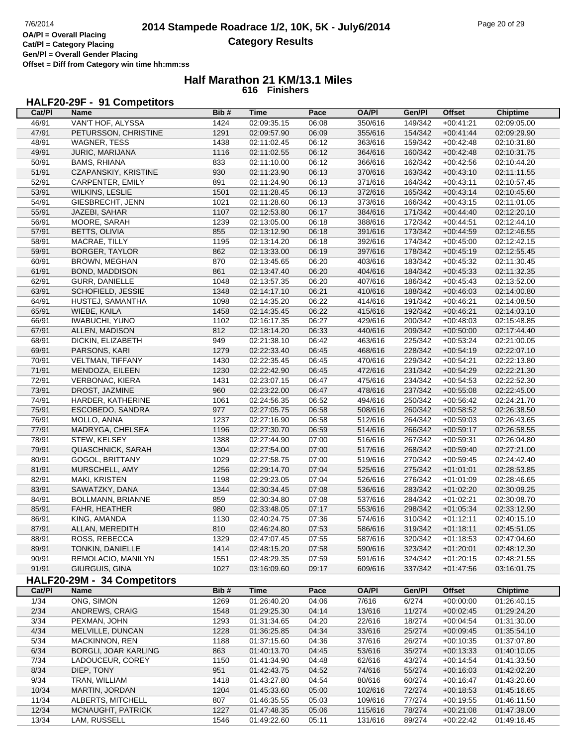# **HALF20-29F - 91 Competitors**

| Cat/PI         | <b>Name</b>                 | Bib# | Time        | Pace  | <b>OA/PI</b> | Gen/Pl  | <b>Offset</b> | <b>Chiptime</b> |
|----------------|-----------------------------|------|-------------|-------|--------------|---------|---------------|-----------------|
| 46/91          | VAN'T HOF, ALYSSA           | 1424 | 02:09:35.15 | 06:08 | 350/616      | 149/342 | $+00:41:21$   | 02:09:05.00     |
| 47/91          | PETURSSON, CHRISTINE        | 1291 | 02:09:57.90 | 06:09 | 355/616      | 154/342 | $+00:41:44$   | 02:09:29.90     |
| 48/91          | WAGNER, TESS                | 1438 | 02:11:02.45 | 06:12 | 363/616      | 159/342 | $+00:42:48$   | 02:10:31.80     |
| 49/91          | JURIC, MARIJANA             | 1116 | 02:11:02.55 | 06:12 | 364/616      | 160/342 | $+00:42:48$   | 02:10:31.75     |
| 50/91          | <b>BAMS, RHIANA</b>         | 833  | 02:11:10.00 | 06:12 | 366/616      | 162/342 | $+00:42:56$   | 02:10:44.20     |
| 51/91          | CZAPANSKIY, KRISTINE        | 930  | 02:11:23.90 | 06:13 | 370/616      | 163/342 | $+00:43:10$   | 02:11:11.55     |
| 52/91          | CARPENTER, EMILY            | 891  | 02:11:24.90 | 06:13 | 371/616      | 164/342 | $+00:43:11$   | 02:10:57.45     |
| 53/91          | WILKINS, LESLIE             | 1501 | 02:11:28.45 | 06:13 | 372/616      | 165/342 | $+00:43:14$   | 02:10:45.60     |
| 54/91          | GIESBRECHT, JENN            | 1021 | 02:11:28.60 | 06:13 | 373/616      | 166/342 | $+00:43:15$   | 02:11:01.05     |
| 55/91          | JAZEBI, SAHAR               | 1107 | 02:12:53.80 | 06:17 | 384/616      | 171/342 | $+00:44:40$   | 02:12:20.10     |
| 56/91          | MOORE, SARAH                | 1239 | 02:13:05.00 | 06:18 | 388/616      | 172/342 | $+00:44:51$   | 02:12:44.10     |
| 57/91          | <b>BETTS, OLIVIA</b>        | 855  | 02:13:12.90 | 06:18 | 391/616      | 173/342 | $+00:44:59$   | 02:12:46.55     |
| 58/91          | MACRAE, TILLY               | 1195 | 02:13:14.20 | 06:18 | 392/616      | 174/342 | $+00:45:00$   | 02:12:42.15     |
| 59/91          | BORGER, TAYLOR              | 862  | 02:13:33.00 | 06:19 | 397/616      | 178/342 | $+00:45:19$   | 02:12:55.45     |
| 60/91          | BROWN, MEGHAN               | 870  | 02:13:45.65 | 06:20 | 403/616      | 183/342 | $+00:45:32$   | 02:11:30.45     |
| 61/91          | BOND, MADDISON              | 861  | 02:13:47.40 | 06:20 | 404/616      | 184/342 | $+00:45:33$   | 02:11:32.35     |
| 62/91          | <b>GURR, DANIELLE</b>       | 1048 | 02:13:57.35 | 06:20 | 407/616      | 186/342 | $+00:45:43$   | 02:13:52.00     |
| 63/91          | SCHOFIELD, JESSIE           | 1348 | 02:14:17.10 | 06:21 | 410/616      | 188/342 | $+00:46:03$   | 02:14:00.80     |
| 64/91          | HUSTEJ, SAMANTHA            | 1098 | 02:14:35.20 | 06:22 | 414/616      | 191/342 | $+00:46:21$   | 02:14:08.50     |
| 65/91          | WIEBE, KAILA                | 1458 | 02:14:35.45 | 06:22 | 415/616      | 192/342 | $+00:46:21$   | 02:14:03.10     |
| 66/91          | <b>IWABUCHI, YUNO</b>       | 1102 | 02:16:17.35 | 06:27 | 429/616      | 200/342 | $+00:48:03$   | 02:15:48.85     |
| 67/91          | ALLEN, MADISON              | 812  | 02:18:14.20 | 06:33 | 440/616      | 209/342 | $+00:50:00$   | 02:17:44.40     |
| 68/91          | DICKIN, ELIZABETH           | 949  | 02:21:38.10 | 06:42 | 463/616      | 225/342 | $+00:53:24$   | 02:21:00.05     |
| 69/91          | PARSONS, KARI               | 1279 | 02:22:33.40 | 06:45 | 468/616      | 228/342 | $+00:54:19$   | 02:22:07.10     |
| 70/91          | <b>VELTMAN, TIFFANY</b>     | 1430 | 02:22:35.45 | 06:45 | 470/616      | 229/342 | $+00:54:21$   | 02:22:13.80     |
| 71/91          | MENDOZA, EILEEN             | 1230 | 02:22:42.90 | 06:45 | 472/616      | 231/342 | $+00:54:29$   | 02:22:21.30     |
| 72/91          | VERBONAC, KIERA             | 1431 | 02:23:07.15 | 06:47 | 475/616      | 234/342 | $+00:54:53$   | 02:22:52.30     |
| 73/91          | DROST, JAZMINE              | 960  | 02:23:22.00 | 06:47 | 478/616      | 237/342 | $+00:55:08$   | 02:22:45.00     |
| 74/91          | HARDER, KATHERINE           | 1061 | 02:24:56.35 | 06:52 | 494/616      | 250/342 | $+00:56:42$   | 02:24:21.70     |
| 75/91          | ESCOBEDO, SANDRA            | 977  | 02:27:05.75 | 06:58 | 508/616      | 260/342 | $+00.58.52$   | 02:26:38.50     |
| 76/91          | MOLLO, ANNA                 | 1237 | 02:27:16.90 | 06:58 | 512/616      | 264/342 | $+00:59:03$   | 02:26:43.65     |
| 77/91          | MADRYGA, CHELSEA            | 1196 | 02:27:30.70 | 06:59 | 514/616      | 266/342 | $+00:59:17$   | 02:26:58.55     |
| 78/91          | STEW, KELSEY                | 1388 | 02:27:44.90 | 07:00 | 516/616      | 267/342 | $+00:59:31$   | 02:26:04.80     |
| 79/91          | <b>QUASCHNICK, SARAH</b>    | 1304 | 02:27:54.00 | 07:00 | 517/616      | 268/342 | $+00:59:40$   | 02:27:21.00     |
| 80/91          | GOGOL, BRITTANY             | 1029 | 02:27:58.75 | 07:00 | 519/616      | 270/342 | $+00:59:45$   | 02:24:42.40     |
| 81/91          | MURSCHELL, AMY              | 1256 | 02:29:14.70 | 07:04 | 525/616      | 275/342 | $+01:01:01$   | 02:28:53.85     |
| 82/91          | MAKI, KRISTEN               | 1198 | 02:29:23.05 | 07:04 | 526/616      | 276/342 | $+01:01:09$   | 02:28:46.65     |
| 83/91          | SAWATZKY, DANA              | 1344 | 02:30:34.45 | 07:08 | 536/616      | 283/342 | $+01:02:20$   | 02:30:09.25     |
| 84/91          | BOLLMANN, BRIANNE           | 859  | 02:30:34.80 | 07:08 | 537/616      | 284/342 | $+01:02:21$   | 02:30:08.70     |
| 85/91          | FAHR, HEATHER               | 980  | 02:33:48.05 | 07:17 | 553/616      | 298/342 | $+01:05:34$   | 02:33:12.90     |
| 86/91          | KING, AMANDA                | 1130 | 02:40:24.75 | 07:36 | 574/616      | 310/342 | $+01:12:11$   | 02:40:15.10     |
| 87/91          | ALLAN, MEREDITH             | 810  | 02:46:24.80 | 07:53 | 586/616      | 319/342 | $+01:18:11$   | 02:45:51.05     |
| 88/91          | ROSS, REBECCA               | 1329 | 02:47:07.45 | 07:55 | 587/616      | 320/342 | $+01:18:53$   | 02:47:04.60     |
| 89/91          | TONKIN, DANIELLE            | 1414 | 02:48:15.20 | 07:58 | 590/616      | 323/342 | $+01:20:01$   | 02:48:12.30     |
| 90/91          | REMOLACIO, MANILYN          | 1551 | 02:48:29.35 | 07:59 | 591/616      | 324/342 | $+01:20:15$   | 02:48:21.55     |
| 91/91          | GIURGUIS, GINA              | 1027 | 03:16:09.60 | 09:17 | 609/616      | 337/342 | $+01:47:56$   | 03:16:01.75     |
|                | HALF20-29M - 34 Competitors |      |             |       |              |         |               |                 |
| Cat/PI         | <b>Name</b>                 | Bib# | <b>Time</b> | Pace  | <b>OA/PI</b> | Gen/Pl  | <b>Offset</b> | <b>Chiptime</b> |
| 1/34           | ONG, SIMON                  | 1269 | 01:26:40.20 | 04:06 | 7/616        | 6/274   | $+00:00:00$   | 01:26:40.15     |
| 2/34           | ANDREWS, CRAIG              | 1548 | 01:29:25.30 | 04:14 | 13/616       | 11/274  | $+00:02:45$   | 01:29:24.20     |
| $\frac{3}{34}$ | PEXMAN, JOHN                | 1293 | 01:31:34.65 | 04:20 | 22/616       | 18/274  | $+00:04:54$   | 01:31:30.00     |
| 4/34           | MELVILLE, DUNCAN            | 1228 | 01:36:25.85 | 04:34 | 33/616       | 25/274  | $+00:09:45$   | 01:35:54.10     |
| $5/34$         | MACKINNON, REN              | 1188 | 01:37:15.60 | 04:36 | 37/616       | 26/274  | $+00:10:35$   | 01:37:07.80     |
| 6/34           | BORGLI, JOAR KARLING        | 863  | 01:40:13.70 | 04:45 | 53/616       | 35/274  | $+00:13:33$   | 01:40:10.05     |
| $7/34$         | LADOUCEUR, COREY            | 1150 | 01:41:34.90 | 04:48 | 62/616       | 43/274  | $+00:14:54$   | 01:41:33.50     |
| 8/34           | DIEP, TONY                  | 951  | 01:42:43.75 | 04:52 | 74/616       | 55/274  | $+00:16:03$   | 01:42:02.20     |
| 9/34           | TRAN, WILLIAM               | 1418 | 01:43:27.80 | 04:54 | 80/616       | 60/274  | $+00:16:47$   | 01:43:20.60     |
| 10/34          | <b>MARTIN, JORDAN</b>       | 1204 | 01:45:33.60 | 05:00 | 102/616      | 72/274  | $+00:18:53$   | 01:45:16.65     |
| 11/34          | ALBERTS, MITCHELL           | 807  | 01:46:35.55 | 05:03 | 109/616      | 77/274  | $+00:19:55$   | 01:46:11.50     |
| 12/34          | MCNAUGHT, PATRICK           | 1227 | 01:47:48.35 | 05:06 | 115/616      | 78/274  | $+00:21:08$   | 01:47:39.00     |
| 13/34          | LAM, RUSSELL                | 1546 | 01:49:22.60 | 05:11 | 131/616      | 89/274  | $+00:22:42$   | 01:49:16.45     |
|                |                             |      |             |       |              |         |               |                 |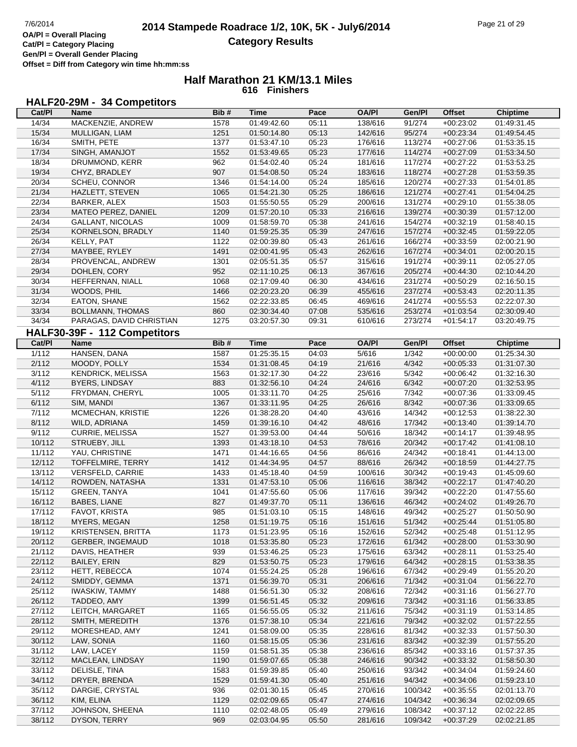**Gen/Pl = Overall Gender Placing Offset = Diff from Category win time hh:mm:ss**

### **Half Marathon 21 KM/13.1 Miles 616 Finishers**

# **HALF20-29M - 34 Competitors**

| Cat/PI | Name                         | Bib# | <b>Time</b> | Pace  | <b>OA/PI</b> | Gen/Pl  | <b>Offset</b> | <b>Chiptime</b> |
|--------|------------------------------|------|-------------|-------|--------------|---------|---------------|-----------------|
| 14/34  | MACKENZIE, ANDREW            | 1578 | 01:49:42.60 | 05:11 | 138/616      | 91/274  | $+00:23:02$   | 01:49:31.45     |
| 15/34  | MULLIGAN, LIAM               | 1251 | 01:50:14.80 | 05:13 | 142/616      | 95/274  | $+00:23:34$   | 01:49:54.45     |
| 16/34  | SMITH, PETE                  | 1377 | 01:53:47.10 | 05:23 | 176/616      | 113/274 | $+00:27:06$   | 01:53:35.15     |
| 17/34  | SINGH, AMANJOT               | 1552 | 01:53:49.65 | 05:23 | 177/616      | 114/274 | $+00:27:09$   | 01:53:34.50     |
| 18/34  | DRUMMOND, KERR               | 962  | 01:54:02.40 | 05:24 | 181/616      | 117/274 | $+00:27:22$   | 01:53:53.25     |
| 19/34  | CHYZ, BRADLEY                | 907  | 01:54:08.50 | 05:24 | 183/616      | 118/274 | $+00:27:28$   | 01:53:59.35     |
| 20/34  | SCHEU, CONNOR                | 1346 | 01:54:14.00 | 05:24 | 185/616      | 120/274 | $+00:27:33$   | 01:54:01.85     |
| 21/34  | HAZLETT, STEVEN              | 1065 | 01:54:21.30 | 05:25 | 186/616      | 121/274 | $+00:27:41$   | 01:54:04.25     |
| 22/34  | BARKER, ALEX                 | 1503 | 01:55:50.55 | 05:29 | 200/616      | 131/274 | $+00:29:10$   | 01:55:38.05     |
| 23/34  | MATEO PEREZ, DANIEL          | 1209 | 01:57:20.10 | 05:33 | 216/616      | 139/274 | $+00:30:39$   | 01:57:12.00     |
| 24/34  | <b>GALLANT, NICOLAS</b>      | 1009 | 01:58:59.70 | 05:38 | 241/616      | 154/274 | $+00:32:19$   | 01:58:40.15     |
| 25/34  | KORNELSON, BRADLY            | 1140 | 01:59:25.35 | 05:39 | 247/616      | 157/274 | $+00:32:45$   | 01:59:22.05     |
| 26/34  | KELLY, PAT                   | 1122 | 02:00:39.80 | 05:43 | 261/616      | 166/274 | $+00:33:59$   | 02:00:21.90     |
| 27/34  | MAYBEE, RYLEY                | 1491 | 02:00:41.95 | 05:43 | 262/616      | 167/274 | $+00:34:01$   | 02:00:20.15     |
| 28/34  | PROVENCAL, ANDREW            | 1301 | 02:05:51.35 | 05:57 | 315/616      | 191/274 | $+00:39:11$   | 02:05:27.05     |
| 29/34  | DOHLEN, CORY                 | 952  | 02:11:10.25 | 06:13 | 367/616      | 205/274 | $+00:44:30$   | 02:10:44.20     |
| 30/34  | HEFFERNAN, NIALL             | 1068 | 02:17:09.40 | 06:30 | 434/616      | 231/274 | $+00:50:29$   | 02:16:50.15     |
| 31/34  | WOODS, PHIL                  | 1466 | 02:20:23.20 | 06:39 | 455/616      | 237/274 | $+00:53:43$   | 02:20:11.35     |
| 32/34  | EATON, SHANE                 | 1562 | 02:22:33.85 | 06:45 | 469/616      | 241/274 | $+00:55:53$   | 02:22:07.30     |
| 33/34  | <b>BOLLMANN, THOMAS</b>      | 860  | 02:30:34.40 | 07:08 | 535/616      | 253/274 | $+01:03:54$   | 02:30:09.40     |
| 34/34  | PARAGAS, DAVID CHRISTIAN     | 1275 | 03:20:57.30 | 09:31 | 610/616      | 273/274 | $+01:54:17$   | 03:20:49.75     |
|        |                              |      |             |       |              |         |               |                 |
|        | HALF30-39F - 112 Competitors |      |             |       |              |         |               |                 |
| Cat/PI | Name                         | Bib# | <b>Time</b> | Pace  | <b>OA/PI</b> | Gen/Pl  | <b>Offset</b> | Chiptime        |
| 1/112  | HANSEN, DANA                 | 1587 | 01:25:35.15 | 04:03 | 5/616        | 1/342   | $+00:00:00$   | 01:25:34.30     |
| 2/112  | MOODY, POLLY                 | 1534 | 01:31:08.45 | 04:19 | 21/616       | 4/342   | $+00:05:33$   | 01:31:07.30     |
| 3/112  | <b>KENDRICK, MELISSA</b>     | 1563 | 01:32:17.30 | 04:22 | 23/616       | 5/342   | $+00:06:42$   | 01:32:16.30     |
| 4/112  | <b>BYERS, LINDSAY</b>        | 883  | 01:32:56.10 | 04:24 | 24/616       | 6/342   | $+00:07:20$   | 01:32:53.95     |
| 5/112  | FRYDMAN, CHERYL              | 1005 | 01:33:11.70 | 04:25 | 25/616       | 7/342   | $+00:07:36$   | 01:33:09.45     |
| 6/112  | SIM, MANDI                   | 1367 | 01:33:11.95 | 04:25 | 26/616       | 8/342   | $+00:07:36$   | 01:33:09.65     |
| 7/112  | MCMECHAN, KRISTIE            | 1226 | 01:38:28.20 | 04:40 | 43/616       | 14/342  | $+00:12:53$   | 01:38:22.30     |
| 8/112  | WILD, ADRIANA                | 1459 | 01:39:16.10 | 04:42 | 48/616       | 17/342  | $+00:13:40$   | 01:39:14.70     |
| 9/112  | CURRIE, MELISSA              | 1527 | 01:39:53.00 | 04:44 | 50/616       | 18/342  | $+00:14:17$   | 01:39:48.95     |
| 10/112 | STRUEBY, JILL                | 1393 | 01:43:18.10 | 04:53 | 78/616       | 20/342  | $+00:17:42$   | 01:41:08.10     |
| 11/112 | YAU, CHRISTINE               | 1471 | 01:44:16.65 | 04:56 | 86/616       | 24/342  | $+00:18:41$   | 01:44:13.00     |
| 12/112 | TOFFELMIRE, TERRY            | 1412 | 01:44:34.95 | 04:57 | 88/616       | 26/342  | $+00:18:59$   | 01:44:27.75     |
| 13/112 | VERSFELD, CARRIE             | 1433 | 01:45:18.40 | 04:59 | 100/616      | 30/342  | $+00:19:43$   | 01:45:09.60     |
| 14/112 | ROWDEN, NATASHA              | 1331 | 01:47:53.10 | 05:06 | 116/616      | 38/342  | $+00:22:17$   | 01:47:40.20     |
| 15/112 | GREEN, TANYA                 | 1041 | 01:47:55.60 | 05:06 | 117/616      | 39/342  | $+00:22:20$   | 01:47:55.60     |
| 16/112 | BABES, LIANE                 | 827  | 01:49:37.70 | 05:11 | 136/616      | 46/342  | $+00:24:02$   | 01:49:26.70     |
| 17/112 | FAVOT, KRISTA                | 985  | 01:51:03.10 | 05:15 | 148/616      | 49/342  | $+00:25:27$   | 01:50:50.90     |
| 18/112 | MYERS, MEGAN                 | 1258 | 01:51:19.75 | 05:16 | 151/616      | 51/342  | $+00.25.44$   | 01:51:05.80     |
| 19/112 | <b>KRISTENSEN, BRITTA</b>    | 1173 | 01:51:23.95 | 05:16 | 152/616      | 52/342  | $+00:25:48$   | 01:51:12.95     |
| 20/112 | <b>GERBER, INGEMAUD</b>      | 1018 | 01:53:35.80 | 05:23 | 172/616      | 61/342  | $+00:28:00$   | 01:53:30.90     |
| 21/112 | DAVIS, HEATHER               | 939  | 01:53:46.25 | 05:23 | 175/616      | 63/342  | $+00:28:11$   | 01:53:25.40     |
| 22/112 | <b>BAILEY, ERIN</b>          | 829  | 01:53:50.75 | 05:23 | 179/616      | 64/342  | $+00:28:15$   | 01:53:38.35     |
| 23/112 | HETT, REBECCA                | 1074 | 01:55:24.25 | 05:28 | 196/616      | 67/342  | $+00:29:49$   | 01:55:20.20     |
| 24/112 | SMIDDY, GEMMA                | 1371 | 01:56:39.70 | 05:31 | 206/616      | 71/342  | $+00:31:04$   | 01:56:22.70     |
| 25/112 | <b>IWASKIW, TAMMY</b>        | 1488 | 01:56:51.30 | 05:32 | 208/616      | 72/342  | $+00:31:16$   | 01:56:27.70     |
| 26/112 | TADDEO, AMY                  | 1399 | 01:56:51.45 | 05:32 | 209/616      | 73/342  | $+00:31:16$   | 01:56:33.85     |
| 27/112 | LEITCH, MARGARET             | 1165 | 01:56:55.05 | 05:32 | 211/616      | 75/342  | $+00:31:19$   | 01:53:14.85     |
| 28/112 | SMITH, MEREDITH              | 1376 | 01:57:38.10 | 05:34 | 221/616      | 79/342  | $+00:32:02$   | 01:57:22.55     |
| 29/112 | MORESHEAD, AMY               | 1241 | 01:58:09.00 | 05:35 | 228/616      | 81/342  | $+00:32:33$   | 01:57:50.30     |
| 30/112 | LAW, SONIA                   | 1160 | 01:58:15.05 | 05:36 | 231/616      | 83/342  | $+00:32:39$   | 01:57:55.20     |
| 31/112 | LAW, LACEY                   | 1159 | 01:58:51.35 | 05:38 | 236/616      | 85/342  | $+00:33:16$   | 01:57:37.35     |
| 32/112 | MACLEAN, LINDSAY             | 1190 | 01:59:07.65 | 05:38 | 246/616      | 90/342  | $+00:33:32$   | 01:58:50.30     |
| 33/112 | DELISLE, TINA                | 1583 | 01:59:39.85 | 05:40 | 250/616      | 93/342  | $+00:34:04$   | 01:59:24.60     |
| 34/112 | DRYER, BRENDA                | 1529 | 01:59:41.30 | 05:40 | 251/616      | 94/342  | $+00:34:06$   | 01:59:23.10     |
| 35/112 | DARGIE, CRYSTAL              | 936  | 02:01:30.15 | 05:45 | 270/616      | 100/342 | $+00:35:55$   | 02:01:13.70     |
| 36/112 | KIM, ELINA                   | 1129 | 02:02:09.65 | 05:47 | 274/616      | 104/342 | $+00:36:34$   | 02:02:09.65     |
| 37/112 | JOHNSON, SHEENA              | 1110 | 02:02:48.05 | 05:49 | 279/616      | 108/342 | $+00:37:12$   | 02:02:22.85     |
| 38/112 | DYSON, TERRY                 | 969  | 02:03:04.95 | 05:50 | 281/616      | 109/342 | $+00:37:29$   | 02:02:21.85     |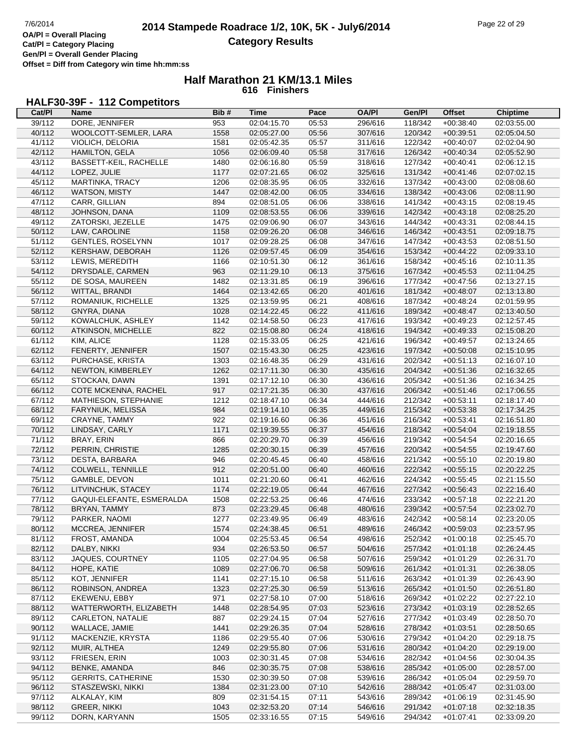# **HALF30-39F - 112 Competitors**

| Cat/PI | Name                      | Bib# | <b>Time</b> | Pace  | <b>OA/PI</b> | Gen/PI  | Offset      | <b>Chiptime</b> |
|--------|---------------------------|------|-------------|-------|--------------|---------|-------------|-----------------|
| 39/112 | DORE, JENNIFER            | 953  | 02:04:15.70 | 05:53 | 296/616      | 118/342 | $+00:38:40$ | 02:03:55.00     |
| 40/112 | WOOLCOTT-SEMLER, LARA     | 1558 | 02:05:27.00 | 05:56 | 307/616      | 120/342 | $+00:39:51$ | 02:05:04.50     |
| 41/112 | VIOLICH, DELORIA          | 1581 | 02:05:42.35 | 05:57 | 311/616      | 122/342 | $+00:40:07$ | 02:02:04.90     |
| 42/112 | HAMILTON, GELA            | 1056 | 02:06:09.40 | 05:58 | 317/616      | 126/342 | $+00:40:34$ | 02:05:52.90     |
| 43/112 | BASSETT-KEIL, RACHELLE    | 1480 | 02:06:16.80 | 05:59 | 318/616      | 127/342 | $+00:40:41$ | 02:06:12.15     |
| 44/112 | LOPEZ, JULIE              | 1177 | 02:07:21.65 | 06:02 | 325/616      | 131/342 | $+00:41:46$ | 02:07:02.15     |
| 45/112 | MARTINKA, TRACY           | 1206 | 02:08:35.95 | 06:05 | 332/616      | 137/342 | $+00:43:00$ | 02:08:08.60     |
| 46/112 | WATSON, MISTY             | 1447 | 02:08:42.00 | 06:05 | 334/616      | 138/342 | $+00:43:06$ | 02:08:11.90     |
| 47/112 | CARR, GILLIAN             | 894  | 02:08:51.05 | 06:06 | 338/616      | 141/342 | $+00:43:15$ | 02:08:19.45     |
| 48/112 | JOHNSON, DANA             | 1109 | 02:08:53.55 | 06:06 | 339/616      | 142/342 | $+00:43:18$ | 02:08:25.20     |
| 49/112 | ZATORSKI, JEZELLE         | 1475 | 02:09:06.90 | 06:07 | 343/616      | 144/342 | $+00:43:31$ | 02:08:44.15     |
| 50/112 | LAW, CAROLINE             | 1158 | 02:09:26.20 | 06:08 | 346/616      | 146/342 | $+00:43:51$ | 02:09:18.75     |
| 51/112 | <b>GENTLES, ROSELYNN</b>  | 1017 | 02:09:28.25 | 06:08 | 347/616      | 147/342 | $+00:43:53$ | 02:08:51.50     |
| 52/112 | KERSHAW, DEBORAH          | 1126 | 02:09:57.45 | 06:09 | 354/616      | 153/342 | $+00:44:22$ | 02:09:33.10     |
| 53/112 | LEWIS, MEREDITH           | 1166 | 02:10:51.30 | 06:12 | 361/616      | 158/342 | $+00:45:16$ | 02:10:11.35     |
| 54/112 | DRYSDALE, CARMEN          | 963  | 02:11:29.10 | 06:13 | 375/616      | 167/342 | $+00:45:53$ | 02:11:04.25     |
| 55/112 | DE SOSA, MAUREEN          | 1482 | 02:13:31.85 | 06:19 | 396/616      | 177/342 | $+00:47:56$ | 02:13:27.15     |
| 56/112 | WITTAL, BRANDI            | 1464 | 02:13:42.65 | 06:20 | 401/616      | 181/342 | $+00:48:07$ | 02:13:13.80     |
| 57/112 | ROMANIUK, RICHELLE        | 1325 | 02:13:59.95 | 06:21 | 408/616      | 187/342 | $+00:48:24$ | 02:01:59.95     |
| 58/112 | GNYRA, DIANA              | 1028 | 02:14:22.45 | 06:22 | 411/616      | 189/342 | $+00:48:47$ | 02:13:40.50     |
| 59/112 | KOWALCHUK, ASHLEY         | 1142 | 02:14:58.50 | 06:23 | 417/616      | 193/342 | $+00:49:23$ | 02:12:57.45     |
| 60/112 | ATKINSON, MICHELLE        | 822  | 02:15:08.80 | 06:24 | 418/616      | 194/342 | $+00:49:33$ | 02:15:08.20     |
| 61/112 | KIM, ALICE                | 1128 | 02:15:33.05 | 06:25 | 421/616      | 196/342 | $+00:49:57$ | 02:13:24.65     |
| 62/112 | FENERTY, JENNIFER         | 1507 | 02:15:43.30 | 06:25 | 423/616      | 197/342 | $+00:50:08$ | 02:15:10.95     |
| 63/112 | PURCHASE, KRISTA          | 1303 | 02:16:48.35 | 06:29 | 431/616      | 202/342 | $+00:51:13$ | 02:16:07.10     |
| 64/112 | NEWTON, KIMBERLEY         | 1262 | 02:17:11.30 | 06:30 | 435/616      | 204/342 | $+00:51:36$ | 02:16:32.65     |
| 65/112 | STOCKAN, DAWN             | 1391 | 02:17:12.10 | 06:30 | 436/616      | 205/342 | $+00.51:36$ | 02:16:34.25     |
| 66/112 | COTE MCKENNA, RACHEL      | 917  | 02:17:21.35 | 06:30 | 437/616      | 206/342 | $+00:51:46$ | 02:17:06.55     |
| 67/112 | MATHIESON, STEPHANIE      | 1212 | 02:18:47.10 | 06:34 | 444/616      | 212/342 | $+00:53:11$ | 02:18:17.40     |
| 68/112 | FARYNIUK, MELISSA         | 984  | 02:19:14.10 | 06:35 | 449/616      | 215/342 | $+00:53:38$ | 02:17:34.25     |
| 69/112 | CRAYNE, TAMMY             | 922  | 02:19:16.60 | 06:36 | 451/616      | 216/342 | $+00:53:41$ | 02:16:51.80     |
| 70/112 | LINDSAY, CARLY            | 1171 | 02:19:39.55 | 06:37 | 454/616      | 218/342 | $+00:54:04$ | 02:19:18.55     |
| 71/112 | BRAY, ERIN                | 866  | 02:20:29.70 | 06:39 | 456/616      | 219/342 | $+00:54:54$ | 02:20:16.65     |
| 72/112 | PERRIN, CHRISTIE          | 1285 | 02:20:30.15 | 06:39 | 457/616      | 220/342 | $+00:54:55$ | 02:19:47.60     |
| 73/112 | DESTA, BARBARA            | 946  | 02:20:45.45 | 06:40 | 458/616      | 221/342 | $+00:55:10$ | 02:20:19.80     |
| 74/112 | COLWELL, TENNILLE         | 912  | 02:20:51.00 | 06:40 | 460/616      | 222/342 | $+00:55:15$ | 02:20:22.25     |
| 75/112 | GAMBLE, DEVON             | 1011 | 02:21:20.60 | 06:41 | 462/616      | 224/342 | $+00:55:45$ | 02:21:15.50     |
| 76/112 | LITVINCHUK, STACEY        | 1174 | 02:22:19.05 | 06:44 | 467/616      | 227/342 | $+00:56:43$ | 02:22:16.40     |
| 77/112 | GAQUI-ELEFANTE, ESMERALDA | 1508 | 02:22:53.25 | 06:46 | 474/616      | 233/342 | $+00:57:18$ | 02:22:21.20     |
| 78/112 | BRYAN, TAMMY              | 873  | 02:23:29.45 | 06:48 | 480/616      | 239/342 | $+00:57:54$ | 02:23:02.70     |
| 79/112 | PARKER, NAOMI             | 1277 | 02:23:49.95 | 06:49 | 483/616      | 242/342 | $+00:58:14$ | 02:23:20.05     |
| 80/112 | <b>MCCREA, JENNIFER</b>   | 1574 | 02:24:38.45 | 06:51 | 489/616      | 246/342 | $+00.59.03$ | 02:23:57.95     |
| 81/112 | FROST, AMANDA             | 1004 | 02:25:53.45 | 06:54 | 498/616      | 252/342 | $+01:00:18$ | 02:25:45.70     |
| 82/112 | DALBY, NIKKI              | 934  | 02:26:53.50 | 06:57 | 504/616      | 257/342 | $+01:01:18$ | 02:26:24.45     |
| 83/112 | JAQUES, COURTNEY          | 1105 | 02:27:04.95 | 06:58 | 507/616      | 259/342 | $+01:01:29$ | 02:26:31.70     |
| 84/112 | HOPE, KATIE               | 1089 | 02:27:06.70 | 06:58 | 509/616      | 261/342 | $+01:01:31$ | 02:26:38.05     |
| 85/112 | KOT, JENNIFER             | 1141 | 02:27:15.10 | 06:58 | 511/616      | 263/342 | $+01:01:39$ | 02:26:43.90     |
| 86/112 | ROBINSON, ANDREA          | 1323 | 02:27:25.30 | 06:59 | 513/616      | 265/342 | $+01:01:50$ | 02:26:51.80     |
| 87/112 | EKEWENU, EBBY             | 971  | 02:27:58.10 | 07:00 | 518/616      | 269/342 | $+01:02:22$ | 02:27:22.10     |
| 88/112 | WATTERWORTH, ELIZABETH    | 1448 | 02:28:54.95 | 07:03 | 523/616      | 273/342 | $+01:03:19$ | 02:28:52.65     |
| 89/112 | CARLETON, NATALIE         | 887  | 02:29:24.15 | 07:04 | 527/616      | 277/342 | $+01:03:49$ | 02:28:50.70     |
| 90/112 | WALLACE, JAMIE            | 1441 | 02:29:26.35 | 07:04 | 528/616      | 278/342 | $+01:03:51$ | 02:28:50.65     |
| 91/112 | MACKENZIE, KRYSTA         | 1186 | 02:29:55.40 | 07:06 | 530/616      | 279/342 | $+01:04:20$ | 02:29:18.75     |
| 92/112 | MUIR, ALTHEA              | 1249 | 02:29:55.80 | 07:06 | 531/616      | 280/342 | $+01:04:20$ | 02:29:19.00     |
| 93/112 | FRIESEN, ERIN             | 1003 | 02:30:31.45 | 07:08 | 534/616      | 282/342 | $+01:04:56$ | 02:30:04.35     |
| 94/112 | BENKE, AMANDA             | 846  | 02:30:35.75 | 07:08 | 538/616      | 285/342 | $+01:05:00$ | 02:28:57.00     |
| 95/112 | <b>GERRITS, CATHERINE</b> | 1530 | 02:30:39.50 | 07:08 | 539/616      | 286/342 | $+01:05:04$ | 02:29:59.70     |
| 96/112 | STASZEWSKI, NIKKI         | 1384 | 02:31:23.00 | 07:10 | 542/616      | 288/342 | $+01:05:47$ | 02:31:03.00     |
| 97/112 | ALKALAY, KIM              | 809  | 02:31:54.15 | 07:11 | 543/616      | 289/342 | $+01:06:19$ | 02:31:45.90     |
| 98/112 | <b>GREER, NIKKI</b>       | 1043 | 02:32:53.20 | 07:14 | 546/616      | 291/342 | $+01:07:18$ | 02:32:18.35     |
| 99/112 | DORN, KARYANN             | 1505 | 02:33:16.55 | 07:15 | 549/616      | 294/342 | $+01:07:41$ | 02:33:09.20     |
|        |                           |      |             |       |              |         |             |                 |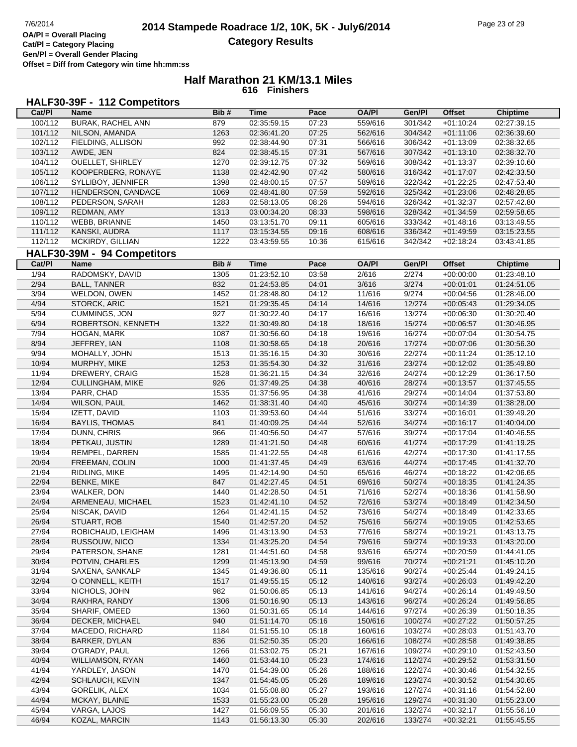**Gen/Pl = Overall Gender Placing**

#### **Half Marathon 21 KM/13.1 Miles 616 Finishers**

# **HALF30-39F - 112 Competitors**

| Cat/PI  | Name                        | Bib# | Time        | Pace  | <b>OA/PI</b> | Gen/PI  | <b>Offset</b> | <b>Chiptime</b> |
|---------|-----------------------------|------|-------------|-------|--------------|---------|---------------|-----------------|
| 100/112 | <b>BURAK, RACHEL ANN</b>    | 879  | 02:35:59.15 | 07:23 | 559/616      | 301/342 | $+01:10:24$   | 02:27:39.15     |
| 101/112 | NILSON, AMANDA              | 1263 | 02:36:41.20 | 07:25 | 562/616      | 304/342 | $+01:11:06$   | 02:36:39.60     |
| 102/112 | FIELDING, ALLISON           | 992  | 02:38:44.90 | 07:31 | 566/616      | 306/342 | $+01:13:09$   | 02:38:32.65     |
| 103/112 | AWDE, JEN                   | 824  | 02:38:45.15 | 07:31 | 567/616      | 307/342 | $+01:13:10$   | 02:38:32.70     |
| 104/112 | <b>OUELLET, SHIRLEY</b>     | 1270 | 02:39:12.75 | 07:32 | 569/616      | 308/342 | $+01:13:37$   | 02:39:10.60     |
| 105/112 | KOOPERBERG, RONAYE          | 1138 | 02:42:42.90 | 07:42 | 580/616      | 316/342 | $+01:17:07$   | 02:42:33.50     |
| 106/112 | SYLLIBOY, JENNIFER          | 1398 | 02:48:00.15 | 07:57 | 589/616      | 322/342 | $+01:22:25$   | 02:47:53.40     |
| 107/112 | HENDERSON, CANDACE          | 1069 | 02:48:41.80 | 07:59 | 592/616      | 325/342 | $+01:23:06$   | 02:48:28.85     |
| 108/112 | PEDERSON, SARAH             | 1283 | 02:58:13.05 | 08:26 | 594/616      | 326/342 | $+01:32:37$   | 02:57:42.80     |
| 109/112 | REDMAN, AMY                 | 1313 | 03:00:34.20 | 08:33 | 598/616      | 328/342 | $+01:34:59$   | 02:59:58.65     |
| 110/112 | WEBB, BRIANNE               | 1450 | 03:13:51.70 | 09:11 | 605/616      | 333/342 | $+01:48:16$   | 03:13:49.55     |
| 111/112 | KANSKI, AUDRA               | 1117 | 03:15:34.55 | 09:16 | 608/616      | 336/342 | $+01:49:59$   | 03:15:23.55     |
| 112/112 | MCKIRDY, GILLIAN            | 1222 | 03:43:59.55 | 10:36 | 615/616      | 342/342 | $+02:18:24$   | 03:43:41.85     |
|         | HALF30-39M - 94 Competitors |      |             |       |              |         |               |                 |
| Cat/PI  | Name                        | Bib# | <b>Time</b> | Pace  | <b>OA/PI</b> | Gen/Pl  | <b>Offset</b> | <b>Chiptime</b> |
| 1/94    | RADOMSKY, DAVID             |      | 01:23:52.10 |       |              | 2/274   |               | 01:23:48.10     |
|         |                             | 1305 | 01:24:53.85 | 03:58 | 2/616        |         | $+00:00:00$   |                 |
| 2/94    | <b>BALL, TANNER</b>         | 832  |             | 04:01 | 3/616        | 3/274   | $+00:01:01$   | 01:24:51.05     |
| 3/94    | WELDON, OWEN                | 1452 | 01:28:48.80 | 04:12 | 11/616       | 9/274   | $+00:04:56$   | 01:28:46.00     |
| 4/94    | STORCK, ARIC                | 1521 | 01:29:35.45 | 04:14 | 14/616       | 12/274  | $+00:05:43$   | 01:29:34.05     |
| 5/94    | CUMMINGS, JON               | 927  | 01:30:22.40 | 04:17 | 16/616       | 13/274  | $+00:06:30$   | 01:30:20.40     |
| 6/94    | ROBERTSON, KENNETH          | 1322 | 01:30:49.80 | 04:18 | 18/616       | 15/274  | $+00:06:57$   | 01:30:46.95     |
| 7/94    | HOGAN, MARK                 | 1087 | 01:30:56.60 | 04:18 | 19/616       | 16/274  | $+00:07:04$   | 01:30:54.75     |
| 8/94    | JEFFREY, IAN                | 1108 | 01:30:58.65 | 04:18 | 20/616       | 17/274  | $+00:07:06$   | 01:30:56.30     |
| 9/94    | MOHALLY, JOHN               | 1513 | 01:35:16.15 | 04:30 | 30/616       | 22/274  | $+00:11:24$   | 01:35:12.10     |
| 10/94   | MURPHY, MIKE                | 1253 | 01:35:54.30 | 04:32 | 31/616       | 23/274  | $+00:12:02$   | 01:35:49.80     |
| 11/94   | DREWERY, CRAIG              | 1528 | 01:36:21.15 | 04:34 | 32/616       | 24/274  | $+00:12:29$   | 01:36:17.50     |
| 12/94   | <b>CULLINGHAM, MIKE</b>     | 926  | 01:37:49.25 | 04:38 | 40/616       | 28/274  | $+00:13:57$   | 01:37:45.55     |
| 13/94   | PARR, CHAD                  | 1535 | 01:37:56.95 | 04:38 | 41/616       | 29/274  | $+00:14:04$   | 01:37:53.80     |
| 14/94   | WILSON, PAUL                | 1462 | 01:38:31.40 | 04:40 | 45/616       | 30/274  | $+00:14:39$   | 01:38:28.00     |
| 15/94   | IZETT, DAVID                | 1103 | 01:39:53.60 | 04:44 | 51/616       | 33/274  | $+00:16:01$   | 01:39:49.20     |
| 16/94   | <b>BAYLIS, THOMAS</b>       | 841  | 01:40:09.25 | 04:44 | 52/616       | 34/274  | $+00:16:17$   | 01:40:04.00     |
| 17/94   | DUNN, CHRIS                 | 966  | 01:40:56.50 | 04:47 | 57/616       | 39/274  | $+00:17:04$   | 01:40:46.55     |
| 18/94   | PETKAU, JUSTIN              | 1289 | 01:41:21.50 | 04:48 | 60/616       | 41/274  | $+00:17:29$   | 01:41:19.25     |
| 19/94   | REMPEL, DARREN              | 1585 | 01:41:22.55 | 04:48 | 61/616       | 42/274  | $+00:17:30$   | 01:41:17.55     |
| 20/94   | FREEMAN, COLIN              | 1000 | 01:41:37.45 | 04:49 | 63/616       | 44/274  | $+00:17:45$   | 01:41:32.70     |
| 21/94   | RIDLING, MIKE               | 1495 | 01:42:14.90 | 04:50 | 65/616       | 46/274  | $+00:18:22$   | 01:42:06.65     |
| 22/94   | <b>BENKE, MIKE</b>          | 847  | 01:42:27.45 | 04:51 | 69/616       | 50/274  | $+00:18:35$   | 01:41:24.35     |
| 23/94   | WALKER, DON                 | 1440 | 01:42:28.50 | 04:51 | 71/616       | 52/274  | $+00:18:36$   | 01:41:58.90     |
| 24/94   | ARMENEAU, MICHAEL           | 1523 | 01:42:41.10 | 04:52 | 72/616       | 53/274  | $+00:18:49$   | 01:42:34.50     |
| 25/94   | NISCAK, DAVID               | 1264 | 01:42:41.15 | 04:52 | 73/616       | 54/274  | $+00:18:49$   | 01:42:33.65     |
| 26/94   | STUART, ROB                 | 1540 | 01:42:57.20 | 04:52 | 75/616       | 56/274  | $+00.19.05$   | 01:42:53.65     |
| 27/94   | ROBICHAUD, LEIGHAM          | 1496 | 01:43:13.90 | 04:53 | 77/616       | 58/274  | $+00:19:21$   | 01:43:13.75     |
| 28/94   | RUSSOUW, NICO               | 1334 | 01:43:25.20 | 04:54 | 79/616       | 59/274  | $+00:19:33$   | 01:43:20.00     |
| 29/94   | PATERSON, SHANE             | 1281 | 01:44:51.60 | 04:58 | 93/616       | 65/274  | $+00:20:59$   | 01:44:41.05     |
| 30/94   | POTVIN, CHARLES             | 1299 | 01:45:13.90 | 04:59 | 99/616       | 70/274  | $+00:21:21$   | 01:45:10.20     |
| 31/94   | SAXENA, SANKALP             | 1345 | 01:49:36.80 | 05:11 | 135/616      | 90/274  | $+00:25:44$   | 01:49:24.15     |
| 32/94   | O CONNELL, KEITH            | 1517 | 01:49:55.15 | 05:12 | 140/616      | 93/274  | $+00:26:03$   | 01:49:42.20     |
| 33/94   | NICHOLS, JOHN               | 982  | 01:50:06.85 | 05:13 | 141/616      | 94/274  | $+00:26:14$   | 01:49:49.50     |
| 34/94   | RAKHRA, RANDY               | 1306 | 01:50:16.90 | 05:13 | 143/616      | 96/274  | $+00:26:24$   | 01:49:56.85     |
| 35/94   | SHARIF, OMEED               | 1360 | 01:50:31.65 | 05:14 | 144/616      | 97/274  | $+00:26:39$   | 01:50:18.35     |
| 36/94   | DECKER, MICHAEL             | 940  | 01:51:14.70 | 05:16 | 150/616      | 100/274 | $+00:27:22$   | 01:50:57.25     |
| 37/94   | MACEDO, RICHARD             | 1184 | 01:51:55.10 | 05:18 | 160/616      | 103/274 | $+00:28:03$   | 01:51:43.70     |
| 38/94   | BARKER, DYLAN               | 836  | 01:52:50.35 | 05:20 | 166/616      | 108/274 | $+00:28:58$   | 01:49:38.85     |
| 39/94   | O'GRADY, PAUL               | 1266 | 01:53:02.75 | 05:21 | 167/616      | 109/274 | $+00.29.10$   | 01:52:43.50     |
| 40/94   | <b>WILLIAMSON, RYAN</b>     | 1460 | 01:53:44.10 | 05:23 | 174/616      | 112/274 | $+00:29:52$   | 01:53:31.50     |
| 41/94   | YARDLEY, JASON              | 1470 | 01:54:39.00 | 05:26 | 188/616      | 122/274 | $+00:30:46$   | 01:54:32.55     |
| 42/94   | SCHLAUCH, KEVIN             | 1347 | 01:54:45.05 | 05:26 | 189/616      | 123/274 | $+00:30:52$   | 01:54:30.65     |
| 43/94   | GORELIK, ALEX               | 1034 | 01:55:08.80 | 05:27 | 193/616      | 127/274 | $+00:31:16$   | 01:54:52.80     |
| 44/94   | MCKAY, BLAINE               | 1533 | 01:55:23.00 | 05:28 | 195/616      | 129/274 | $+00:31:30$   | 01:55:23.00     |
| 45/94   | VARGA, LAJOS                | 1427 | 01:56:09.55 | 05:30 | 201/616      | 132/274 | $+00:32:17$   | 01:55:56.10     |
| 46/94   | KOZAL, MARCIN               | 1143 | 01:56:13.30 | 05:30 | 202/616      | 133/274 | $+00:32:21$   | 01:55:45.55     |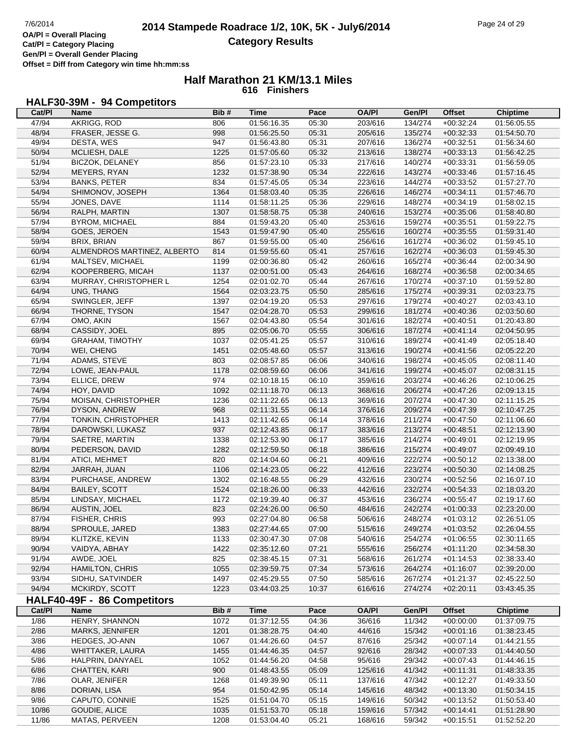**Offset = Diff from Category win time hh:mm:ss**

### **Half Marathon 21 KM/13.1 Miles 616 Finishers**

# **HALF30-39M - 94 Competitors**

| Cat/PI | Name                        | Bib# | <b>Time</b> | Pace  | <b>OA/PI</b> | Gen/Pl           | <b>Offset</b> | <b>Chiptime</b> |
|--------|-----------------------------|------|-------------|-------|--------------|------------------|---------------|-----------------|
| 47/94  | AKRIGG, ROD                 | 806  | 01:56:16.35 | 05:30 | 203/616      | 134/274          | $+00:32:24$   | 01:56:05.55     |
| 48/94  | FRASER, JESSE G.            | 998  | 01:56:25.50 | 05:31 | 205/616      | 135/274          | $+00:32:33$   | 01:54:50.70     |
| 49/94  | DESTA, WES                  | 947  | 01:56:43.80 | 05:31 | 207/616      | 136/274          | $+00:32:51$   | 01:56:34.60     |
| 50/94  | MCLIESH, DALE               | 1225 | 01:57:05.60 | 05:32 | 213/616      | 138/274          | $+00:33:13$   | 01:56:42.25     |
| 51/94  | <b>BICZOK, DELANEY</b>      | 856  | 01:57:23.10 | 05:33 | 217/616      | 140/274          | $+00:33:31$   | 01:56:59.05     |
| 52/94  | MEYERS, RYAN                | 1232 | 01:57:38.90 | 05:34 | 222/616      | 143/274          | $+00:33:46$   | 01:57:16.45     |
| 53/94  | <b>BANKS, PETER</b>         | 834  | 01:57:45.05 | 05:34 | 223/616      | 144/274          | $+00:33:52$   | 01:57:27.70     |
| 54/94  | SHIMONOV, JOSEPH            | 1364 | 01:58:03.40 | 05:35 | 226/616      | 146/274          | $+00:34:11$   | 01:57:46.70     |
| 55/94  | JONES, DAVE                 | 1114 | 01:58:11.25 | 05:36 | 229/616      | 148/274          | $+00:34:19$   | 01:58:02.15     |
| 56/94  | RALPH, MARTIN               | 1307 | 01:58:58.75 | 05:38 | 240/616      | 153/274          | $+00:35:06$   | 01:58:40.80     |
| 57/94  | <b>BYROM, MICHAEL</b>       | 884  | 01:59:43.20 | 05:40 | 253/616      | 159/274          | $+00:35:51$   | 01:59:22.75     |
| 58/94  | GOES, JEROEN                | 1543 | 01:59:47.90 | 05:40 | 255/616      | 160/274          | $+00:35:55$   | 01:59:31.40     |
| 59/94  | <b>BRIX, BRIAN</b>          | 867  | 01:59:55.00 | 05:40 | 256/616      | 161/274          | $+00:36:02$   | 01:59:45.10     |
| 60/94  | ALMENDROS MARTINEZ, ALBERTO | 814  | 01:59:55.60 | 05:41 | 257/616      | 162/274          | $+00:36:03$   | 01:59:45.30     |
| 61/94  | MALTSEV, MICHAEL            | 1199 | 02:00:36.80 | 05:42 | 260/616      | 165/274          | $+00:36:44$   | 02:00:34.90     |
| 62/94  | KOOPERBERG, MICAH           | 1137 | 02:00:51.00 | 05:43 | 264/616      | 168/274          | $+00:36:58$   | 02:00:34.65     |
| 63/94  | MURRAY, CHRISTOPHER L       | 1254 | 02:01:02.70 | 05:44 | 267/616      | 170/274          | $+00:37:10$   | 01:59:52.80     |
| 64/94  | UNG, THANG                  | 1564 | 02:03:23.75 | 05:50 | 285/616      | 175/274          | $+00:39:31$   | 02:03:23.75     |
| 65/94  | SWINGLER, JEFF              | 1397 | 02:04:19.20 | 05:53 | 297/616      | 179/274          | $+00:40:27$   | 02:03:43.10     |
| 66/94  | THORNE, TYSON               | 1547 | 02:04:28.70 | 05:53 | 299/616      | 181/274          | $+00:40:36$   | 02:03:50.60     |
| 67/94  | OMO, AKIN                   | 1567 | 02:04:43.80 | 05:54 | 301/616      | 182/274          | $+00:40:51$   | 01:20:43.80     |
| 68/94  | CASSIDY, JOEL               | 895  | 02:05:06.70 | 05:55 | 306/616      | 187/274          | $+00.41.14$   | 02:04:50.95     |
| 69/94  | <b>GRAHAM, TIMOTHY</b>      | 1037 | 02:05:41.25 | 05:57 | 310/616      | 189/274          | $+00:41:49$   | 02:05:18.40     |
| 70/94  | WEI, CHENG                  | 1451 | 02:05:48.60 | 05:57 | 313/616      | 190/274          | $+00:41:56$   | 02:05:22.20     |
| 71/94  | ADAMS, STEVE                | 803  | 02:08:57.85 | 06:06 | 340/616      | 198/274          | $+00:45:05$   | 02:08:11.40     |
| 72/94  | LOWE, JEAN-PAUL             | 1178 | 02:08:59.60 | 06:06 | 341/616      | 199/274          | $+00:45:07$   | 02:08:31.15     |
| 73/94  | ELLICE, DREW                | 974  | 02:10:18.15 | 06:10 | 359/616      | 203/274          | $+00:46:26$   | 02:10:06.25     |
| 74/94  | HOY, DAVID                  | 1092 | 02:11:18.70 | 06:13 | 368/616      | 206/274          | $+00:47:26$   | 02:09:13.15     |
| 75/94  | MOISAN, CHRISTOPHER         | 1236 | 02:11:22.65 | 06:13 | 369/616      | 207/274          | $+00:47:30$   | 02:11:15.25     |
| 76/94  | DYSON, ANDREW               | 968  | 02:11:31.55 | 06:14 | 376/616      | 209/274          | $+00.47:39$   | 02:10:47.25     |
| 77/94  | TONKIN, CHRISTOPHER         | 1413 | 02:11:42.65 | 06:14 | 378/616      | 211/274          | $+00:47:50$   | 02:11:06.60     |
| 78/94  | DAROWSKI, LUKASZ            | 937  | 02:12:43.85 | 06:17 | 383/616      | 213/274          | $+00:48:51$   | 02:12:13.90     |
| 79/94  | SAETRE, MARTIN              | 1338 | 02:12:53.90 | 06:17 | 385/616      | 214/274          | $+00:49:01$   | 02:12:19.95     |
| 80/94  | PEDERSON, DAVID             | 1282 | 02:12:59.50 | 06:18 | 386/616      | 215/274          | $+00.49:07$   | 02:09:49.10     |
| 81/94  | ATICI, MEHMET               | 820  | 02:14:04.60 | 06:21 | 409/616      | 222/274          | $+00:50:12$   | 02:13:38.00     |
| 82/94  | JARRAH, JUAN                | 1106 | 02:14:23.05 | 06:22 | 412/616      | 223/274          | $+00:50:30$   | 02:14:08.25     |
| 83/94  | PURCHASE, ANDREW            | 1302 | 02:16:48.55 | 06:29 | 432/616      | 230/274          | $+00:52:56$   | 02:16:07.10     |
| 84/94  | <b>BAILEY, SCOTT</b>        | 1524 | 02:18:26.00 | 06:33 | 442/616      | 232/274          | $+00.54.33$   | 02:18:03.20     |
| 85/94  | LINDSAY, MICHAEL            | 1172 | 02:19:39.40 | 06:37 | 453/616      | 236/274          | $+00:55:47$   | 02:19:17.60     |
| 86/94  | AUSTIN, JOEL                | 823  | 02:24:26.00 | 06:50 | 484/616      | 242/274          | $+01:00:33$   | 02:23:20.00     |
| 87/94  | FISHER, CHRIS               | 993  | 02:27:04.80 | 06:58 | 506/616      | 248/274          | $+01:03:12$   | 02:26:51.05     |
| 88/94  | SPROULE, JARED              | 1383 | 02:27:44.65 | 07:00 | 515/616      | 249/274          | $+01:03:52$   | 02:26:04.55     |
| 89/94  | KLITZKE, KEVIN              | 1133 | 02:30:47.30 | 07:08 | 540/616      | 254/274          | $+01:06:55$   | 02:30:11.65     |
| 90/94  | VAIDYA, ABHAY               | 1422 | 02:35:12.60 | 07:21 | 555/616      | 256/274          | $+01:11:20$   | 02:34:58.30     |
| 91/94  | AWDE, JOEL                  | 825  | 02:38:45.15 | 07:31 | 568/616      | 261/274          | $+01:14:53$   | 02:38:33.40     |
| 92/94  | <b>HAMILTON, CHRIS</b>      | 1055 | 02:39:59.75 | 07:34 | 573/616      | 264/274          | $+01:16:07$   | 02:39:20.00     |
| 93/94  | SIDHU, SATVINDER            | 1497 | 02:45:29.55 | 07:50 | 585/616      | 267/274          | $+01:21:37$   | 02:45:22.50     |
| 94/94  | MCKIRDY, SCOTT              | 1223 | 03:44:03.25 | 10:37 | 616/616      | 274/274          | $+02:20:11$   | 03:43:45.35     |
|        | HALF40-49F - 86 Competitors |      |             |       |              |                  |               |                 |
| Cat/PI | Name                        | Bib# | <b>Time</b> | Pace  | <b>OA/PI</b> | Gen/Pl           | <b>Offset</b> | <b>Chiptime</b> |
|        |                             |      |             |       |              |                  |               |                 |
| 1/86   | HENRY, SHANNON              | 1072 | 01:37:12.55 | 04:36 | 36/616       | 11/342           | $+00:00:00$   | 01:37:09.75     |
| 2/86   | MARKS, JENNIFER             | 1201 | 01:38:28.75 | 04:40 | 44/616       | 15/342<br>25/342 | $+00:01:16$   | 01:38:23.45     |
| 3/86   | HEDGES, JO-ANN              | 1067 | 01:44:26.60 | 04:57 | 87/616       |                  | $+00:07:14$   | 01:44:21.55     |
| 4/86   | WHITTAKER, LAURA            | 1455 | 01:44:46.35 | 04:57 | 92/616       | 28/342           | $+00:07:33$   | 01:44:40.50     |
| 5/86   | HALPRIN, DANYAEL            | 1052 | 01:44:56.20 | 04:58 | 95/616       | 29/342           | $+00:07:43$   | 01:44:46.15     |
| 6/86   | CHATTEN, KARI               | 900  | 01:48:43.55 | 05:09 | 125/616      | 41/342           | $+00:11:31$   | 01:48:33.35     |
| 7/86   | OLAR, JENIFER               | 1268 | 01:49:39.90 | 05:11 | 137/616      | 47/342           | $+00:12:27$   | 01:49:33.50     |
| 8/86   | DORIAN, LISA                | 954  | 01:50:42.95 | 05:14 | 145/616      | 48/342           | $+00:13:30$   | 01:50:34.15     |
| 9/86   | CAPUTO, CONNIE              | 1525 | 01:51:04.70 | 05:15 | 149/616      | 50/342           | $+00:13:52$   | 01:50:53.40     |
| 10/86  | GOUDIE, ALICE               | 1035 | 01:51:53.70 | 05:18 | 159/616      | 57/342           | $+00:14:41$   | 01:51:28.90     |
| 11/86  | MATAS, PERVEEN              | 1208 | 01:53:04.40 | 05:21 | 168/616      | 59/342           | $+00:15:51$   | 01:52:52.20     |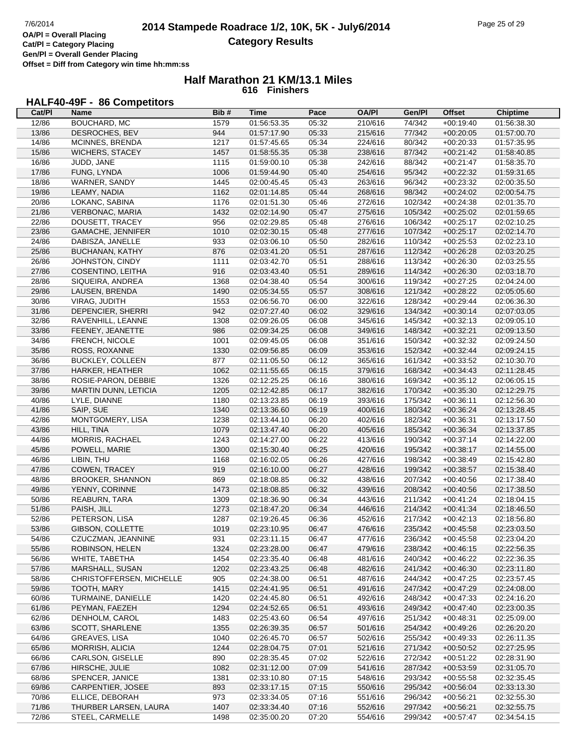**Cat/Pl = Category Placing Gen/Pl = Overall Gender Placing Offset = Diff from Category win time hh:mm:ss**

### **Half Marathon 21 KM/13.1 Miles 616 Finishers**

# **HALF40-49F - 86 Competitors**

| Cat/PI         | Name                        | Bib#        | <b>Time</b>                | Pace  | <b>OA/PI</b>       | Gen/Pl             | <b>Offset</b>              | <b>Chiptime</b>            |
|----------------|-----------------------------|-------------|----------------------------|-------|--------------------|--------------------|----------------------------|----------------------------|
| 12/86          | BOUCHARD, MC                | 1579        | 01:56:53.35                | 05:32 | 210/616            | 74/342             | $+00:19:40$                | 01:56:38.30                |
| 13/86          | <b>DESROCHES, BEV</b>       | 944         | 01:57:17.90                | 05:33 | 215/616            | 77/342             | $+00:20:05$                | 01:57:00.70                |
| 14/86          | MCINNES, BRENDA             | 1217        | 01:57:45.65                | 05:34 | 224/616            | 80/342             | $+00:20:33$                | 01:57:35.95                |
| 15/86          | <b>WICHERS, STACEY</b>      | 1457        | 01:58:55.35                | 05:38 | 238/616            | 87/342             | $+00:21:42$                | 01:58:40.85                |
| 16/86          | JUDD, JANE                  | 1115        | 01:59:00.10                | 05:38 | 242/616            | 88/342             | $+00:21:47$                | 01:58:35.70                |
| 17/86          | FUNG, LYNDA                 | 1006        | 01:59:44.90                | 05:40 | 254/616            | 95/342             | $+00:22:32$                | 01:59:31.65                |
| 18/86          | WARNER, SANDY               | 1445        | 02:00:45.45                | 05:43 | 263/616            | 96/342             | $+00:23:32$                | 02:00:35.50                |
| 19/86          | LEAMY, NADIA                | 1162        | 02:01:14.85                | 05:44 | 268/616            | 98/342             | $+00:24:02$                | 02:00:54.75                |
| 20/86          | LOKANC, SABINA              | 1176        | 02:01:51.30                | 05:46 | 272/616            | 102/342            | $+00:24:38$                | 02:01:35.70                |
| 21/86          | VERBONAC, MARIA             | 1432        | 02:02:14.90                | 05:47 | 275/616            | 105/342            | $+00:25:02$                | 02:01:59.65                |
| 22/86          | DOUSETT, TRACEY             | 956         | 02:02:29.85                | 05:48 | 276/616            | 106/342            | $+00:25:17$                | 02:02:10.25                |
| 23/86          | GAMACHE, JENNIFER           | 1010        | 02:02:30.15                | 05:48 | 277/616            | 107/342            | $+00:25:17$                | 02:02:14.70                |
| 24/86          | DABISZA, JANELLE            | 933         | 02:03:06.10                | 05:50 | 282/616            | 110/342            | $+00:25:53$                | 02:02:23.10                |
| 25/86          | BUCHANAN, KATHY             | 876         | 02:03:41.20                | 05:51 | 287/616            | 112/342            | $+00:26:28$                | 02:03:20.25                |
| 26/86          | JOHNSTON, CINDY             | 1111        | 02:03:42.70                | 05:51 | 288/616            | 113/342            | $+00:26:30$                | 02:03:25.55                |
| 27/86          | COSENTINO, LEITHA           | 916         | 02:03:43.40                | 05:51 | 289/616            | 114/342            | $+00:26:30$                | 02:03:18.70                |
| 28/86          | SIQUEIRA, ANDREA            | 1368        | 02:04:38.40                | 05:54 | 300/616            | 119/342            | $+00:27:25$                | 02:04:24.00                |
| 29/86          | LAUSEN, BRENDA              | 1490        | 02:05:34.55                | 05:57 | 308/616            | 121/342            | $+00:28:22$                | 02:05:05.60                |
| 30/86          | VIRAG, JUDITH               | 1553        | 02:06:56.70                | 06:00 | 322/616            | 128/342            | $+00:29:44$                | 02:06:36.30                |
| 31/86          | DEPENCIER, SHERRI           | 942         | 02:07:27.40                | 06:02 | 329/616            | 134/342            | $+00:30:14$                | 02:07:03.05                |
| 32/86          | RAVENHILL, LEANNE           | 1308        | 02:09:26.05                | 06:08 | 345/616            | 145/342            | $+00:32:13$                | 02:09:05.10                |
|                |                             | 986         |                            |       |                    | 148/342            |                            |                            |
| 33/86          | FEENEY, JEANETTE            |             | 02:09:34.25<br>02:09:45.05 | 06:08 | 349/616<br>351/616 |                    | $+00:32:21$                | 02:09:13.50                |
| 34/86<br>35/86 | FRENCH, NICOLE              | 1001        |                            | 06:08 |                    | 150/342<br>152/342 | $+00:32:32$<br>$+00:32:44$ | 02:09:24.50<br>02:09:24.15 |
|                | ROSS, ROXANNE               | 1330<br>877 | 02:09:56.85                | 06:09 | 353/616            | 161/342            |                            |                            |
| 36/86          | <b>BUCKLEY, COLLEEN</b>     |             | 02:11:05.50                | 06:12 | 365/616            |                    | $+00:33:52$                | 02:10:30.70                |
| 37/86          | HARKER, HEATHER             | 1062        | 02:11:55.65                | 06:15 | 379/616            | 168/342            | $+00:34:43$                | 02:11:28.45                |
| 38/86          | ROSIE-PARON, DEBBIE         | 1326        | 02:12:25.25                | 06:16 | 380/616            | 169/342            | $+00:35:12$                | 02:06:05.15                |
| 39/86          | <b>MARTIN DUNN, LETICIA</b> | 1205        | 02:12:42.85                | 06:17 | 382/616            | 170/342            | $+00:35:30$                | 02:12:29.75                |
| 40/86          | LYLE, DIANNE                | 1180        | 02:13:23.85                | 06:19 | 393/616            | 175/342            | $+00:36:11$                | 02:12:56.30                |
| 41/86          | SAIP, SUE                   | 1340        | 02:13:36.60                | 06:19 | 400/616            | 180/342            | $+00:36:24$                | 02:13:28.45                |
| 42/86          | MONTGOMERY, LISA            | 1238        | 02:13:44.10                | 06:20 | 402/616            | 182/342            | $+00:36:31$                | 02:13:17.50                |
| 43/86          | HILL, TINA                  | 1079        | 02:13:47.40                | 06:20 | 405/616            | 185/342            | $+00:36:34$                | 02:13:37.85                |
| 44/86          | <b>MORRIS, RACHAEL</b>      | 1243        | 02:14:27.00                | 06:22 | 413/616            | 190/342            | $+00:37:14$                | 02:14:22.00                |
| 45/86          | POWELL, MARIE               | 1300        | 02:15:30.40                | 06:25 | 420/616            | 195/342            | $+00:38:17$                | 02:14:55.00                |
| 46/86          | LIBIN, THU                  | 1168        | 02:16:02.05                | 06:26 | 427/616            | 198/342            | $+00:38:49$                | 02:15:42.80                |
| 47/86          | COWEN, TRACEY               | 919         | 02:16:10.00                | 06:27 | 428/616            | 199/342            | $+00:38:57$                | 02:15:38.40                |
| 48/86          | <b>BROOKER, SHANNON</b>     | 869         | 02:18:08.85                | 06:32 | 438/616            | 207/342            | $+00:40:56$                | 02:17:38.40                |
| 49/86          | YENNY, CORINNE              | 1473        | 02:18:08.85                | 06:32 | 439/616            | 208/342            | $+00:40:56$                | 02:17:38.50                |
| 50/86          | REABURN, TARA               | 1309        | 02:18:36.90                | 06:34 | 443/616            | 211/342            | $+00:41:24$                | 02:18:04.15                |
| 51/86          | PAISH, JILL                 | 1273        | 02:18:47.20                | 06:34 | 446/616            | 214/342            | $+00:41:34$                | 02:18:46.50                |
| 52/86          | PETERSON, LISA              | 1287        | 02:19:26.45                | 06:36 | 452/616            | 217/342            | $+00:42:13$                | 02:18:56.80                |
| 53/86          | GIBSON, COLLETTE            | 1019        | 02:23:10.95                | 06:47 | 476/616            | 235/342            | $+00:45:58$                | 02:23:03.50                |
| 54/86          | CZUCZMAN, JEANNINE          | 931         | 02:23:11.15                | 06:47 | 477/616            | 236/342            | $+00:45:58$                | 02:23:04.20                |
| 55/86          | ROBINSON, HELEN             | 1324        | 02:23:28.00                | 06:47 | 479/616            | 238/342            | $+00:46:15$                | 02:22:56.35                |
| 56/86          | WHITE, TABETHA              | 1454        | 02:23:35.40                | 06:48 | 481/616            | 240/342            | $+00:46:22$                | 02:22:36.35                |
| 57/86          | MARSHALL, SUSAN             | 1202        | 02:23:43.25                | 06:48 | 482/616            | 241/342            | $+00:46:30$                | 02:23:11.80                |
| 58/86          | CHRISTOFFERSEN, MICHELLE    | 905         | 02:24:38.00                | 06:51 | 487/616            | 244/342            | $+00:47:25$                | 02:23:57.45                |
| 59/86          | TOOTH, MARY                 | 1415        | 02:24:41.95                | 06:51 | 491/616            | 247/342            | $+00:47:29$                | 02:24:08.00                |
| 60/86          | TURMAINE, DANIELLE          | 1420        | 02:24:45.80                | 06:51 | 492/616            | 248/342            | $+00:47:33$                | 02:24:16.20                |
| 61/86          | PEYMAN, FAEZEH              | 1294        | 02:24:52.65                | 06:51 | 493/616            | 249/342            | $+00:47:40$                | 02:23:00.35                |
| 62/86          | DENHOLM, CAROL              | 1483        | 02:25:43.60                | 06:54 | 497/616            | 251/342            | $+00:48:31$                | 02:25:09.00                |
| 63/86          | <b>SCOTT, SHARLENE</b>      | 1355        | 02:26:39.35                | 06:57 | 501/616            | 254/342            | $+00:49:26$                | 02:26:20.20                |
| 64/86          | GREAVES, LISA               | 1040        | 02:26:45.70                | 06:57 | 502/616            | 255/342            | $+00:49:33$                | 02:26:11.35                |
| 65/86          | MORRISH, ALICIA             | 1244        | 02:28:04.75                | 07:01 | 521/616            | 271/342            | $+00:50:52$                | 02:27:25.95                |
| 66/86          | CARLSON, GISELLE            | 890         | 02:28:35.45                | 07:02 | 522/616            | 272/342            | $+00:51:22$                | 02:28:31.90                |
| 67/86          | HIRSCHE, JULIE              | 1082        | 02:31:12.00                | 07:09 | 541/616            | 287/342            | $+00:53:59$                | 02:31:05.70                |
| 68/86          | SPENCER, JANICE             | 1381        | 02:33:10.80                | 07:15 | 548/616            | 293/342            | $+00:55:58$                | 02:32:35.45                |
| 69/86          | CARPENTIER, JOSEE           | 893         | 02:33:17.15                | 07:15 | 550/616            | 295/342            | $+00:56:04$                | 02:33:13.30                |
| 70/86          | ELLICE, DEBORAH             | 973         | 02:33:34.05                | 07:16 | 551/616            | 296/342            | $+00:56:21$                | 02:32:55.30                |
| 71/86          | THURBER LARSEN, LAURA       | 1407        | 02:33:34.40                | 07:16 | 552/616            | 297/342            | $+00:56:21$                | 02:32:55.75                |
| 72/86          | STEEL, CARMELLE             | 1498        | 02:35:00.20                | 07:20 | 554/616            | 299/342            | $+00:57:47$                | 02:34:54.15                |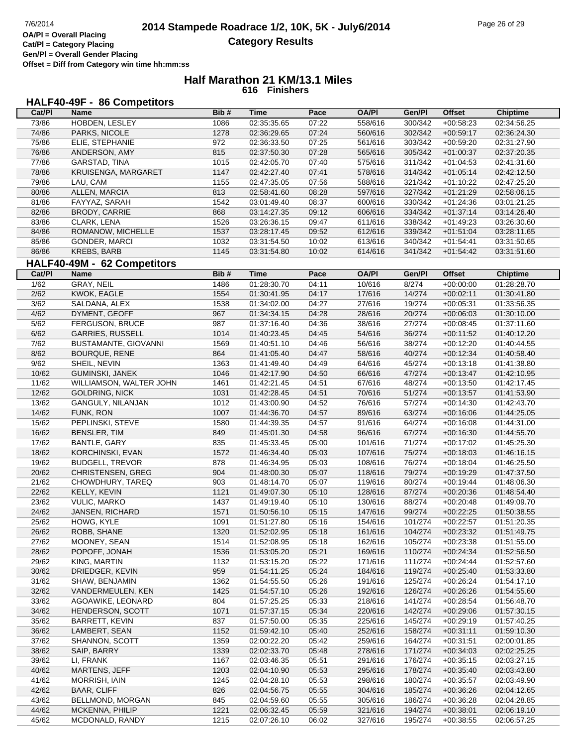# **HALF40-49F - 86 Competitors**

| Cat/PI | Name                        | Bib# | Time        | Pace  | <b>OA/PI</b> | Gen/PI  | <b>Offset</b>     | <b>Chiptime</b> |
|--------|-----------------------------|------|-------------|-------|--------------|---------|-------------------|-----------------|
| 73/86  | HOBDEN, LESLEY              | 1086 | 02:35:35.65 | 07:22 | 558/616      | 300/342 | $+00:58:23$       | 02:34:56.25     |
| 74/86  | PARKS, NICOLE               | 1278 | 02:36:29.65 | 07:24 | 560/616      | 302/342 | $+00:59:17$       | 02:36:24.30     |
| 75/86  | ELIE, STEPHANIE             | 972  | 02:36:33.50 | 07:25 | 561/616      | 303/342 | $+00:59:20$       | 02:31:27.90     |
| 76/86  | ANDERSON, AMY               | 815  | 02:37:50.30 | 07:28 | 565/616      | 305/342 | $+01:00:37$       | 02:37:20.35     |
| 77/86  | GARSTAD, TINA               | 1015 | 02:42:05.70 | 07:40 | 575/616      | 311/342 | $+01:04:53$       | 02:41:31.60     |
| 78/86  | KRUISENGA, MARGARET         | 1147 | 02:42:27.40 | 07:41 | 578/616      | 314/342 | $+01:05:14$       | 02:42:12.50     |
| 79/86  | LAU, CAM                    | 1155 | 02:47:35.05 | 07:56 | 588/616      | 321/342 | $+01:10:22$       | 02:47:25.20     |
| 80/86  | ALLEN, MARCIA               | 813  | 02:58:41.60 | 08:28 | 597/616      | 327/342 | $+01:21:29$       | 02:58:06.15     |
| 81/86  | FAYYAZ, SARAH               | 1542 | 03:01:49.40 | 08:37 | 600/616      | 330/342 | $+01:24:36$       | 03:01:21.25     |
| 82/86  | BRODY, CARRIE               | 868  | 03:14:27.35 | 09:12 | 606/616      | 334/342 | $+01:37:14$       | 03:14:26.40     |
| 83/86  | CLARK, LENA                 | 1526 | 03:26:36.15 | 09:47 | 611/616      | 338/342 | $+01:49:23$       | 03:26:30.60     |
| 84/86  | ROMANOW, MICHELLE           | 1537 | 03:28:17.45 | 09:52 | 612/616      | 339/342 | $+01:51:04$       | 03:28:11.65     |
| 85/86  | GONDER, MARCI               | 1032 | 03:31:54.50 | 10:02 | 613/616      | 340/342 | $+01:54:41$       | 03:31:50.65     |
| 86/86  | <b>KREBS, BARB</b>          | 1145 | 03:31:54.80 | 10:02 | 614/616      | 341/342 | $+01:54:42$       | 03:31:51.60     |
|        |                             |      |             |       |              |         |                   |                 |
|        | HALF40-49M - 62 Competitors |      |             |       |              |         |                   |                 |
| Cat/PI | Name                        | Bib# | <b>Time</b> | Pace  | <b>OA/PI</b> | Gen/Pl  | <b>Offset</b>     | <b>Chiptime</b> |
| 1/62   | GRAY, NEIL                  | 1486 | 01:28:30.70 | 04:11 | 10/616       | 8/274   | $+00:00:00$       | 01:28:28.70     |
| 2/62   | KWOK, EAGLE                 | 1554 | 01:30:41.95 | 04:17 | 17/616       | 14/274  | $+00:02:11$       | 01:30:41.80     |
| 3/62   | SALDANA, ALEX               | 1538 | 01:34:02.00 | 04:27 | 27/616       | 19/274  | $+00:05:31$       | 01:33:56.35     |
| 4/62   | DYMENT, GEOFF               | 967  | 01:34:34.15 | 04:28 | 28/616       | 20/274  | $+00:06:03$       | 01:30:10.00     |
| 5/62   | FERGUSON, BRUCE             | 987  | 01:37:16.40 | 04:36 | 38/616       | 27/274  | $+00:08:45$       | 01:37:11.60     |
| 6/62   | <b>GARRIES, RUSSELL</b>     | 1014 | 01:40:23.45 | 04:45 | 54/616       | 36/274  | $+00:11:52$       | 01:40:12.20     |
| 7/62   | BUSTAMANTE, GIOVANNI        | 1569 | 01:40:51.10 | 04:46 | 56/616       | 38/274  | $+00:12:20$       | 01:40:44.55     |
| 8/62   | <b>BOURQUE, RENE</b>        | 864  | 01:41:05.40 | 04:47 | 58/616       | 40/274  | $+00:12:34$       | 01:40:58.40     |
| 9/62   | SHEIL, NEVIN                | 1363 | 01:41:49.40 | 04:49 | 64/616       | 45/274  | $+00:13:18$       | 01:41:38.80     |
| 10/62  | <b>GUMINSKI, JANEK</b>      | 1046 | 01:42:17.90 | 04:50 | 66/616       | 47/274  | $+00:13:47$       | 01:42:10.95     |
| 11/62  | WILLIAMSON, WALTER JOHN     | 1461 | 01:42:21.45 | 04:51 | 67/616       | 48/274  | $+00:13:50$       | 01:42:17.45     |
| 12/62  | <b>GOLDRING, NICK</b>       | 1031 | 01:42:28.45 | 04:51 | 70/616       | 51/274  | $+00:13:57$       | 01:41:53.90     |
| 13/62  | GANGULY, NILANJAN           | 1012 | 01:43:00.90 | 04:52 | 76/616       | 57/274  | $+00:14:30$       | 01:42:43.70     |
| 14/62  | FUNK, RON                   | 1007 | 01:44:36.70 | 04:57 | 89/616       | 63/274  | $+00:16:06$       | 01:44:25.05     |
| 15/62  | PEPLINSKI, STEVE            | 1580 | 01:44:39.35 | 04:57 | 91/616       | 64/274  | $+00:16:08$       | 01:44:31.00     |
| 16/62  | <b>BENSLER, TIM</b>         | 849  | 01:45:01.30 | 04:58 | 96/616       | 67/274  | $+00:16:30$       | 01:44:55.70     |
| 17/62  | <b>BANTLE, GARY</b>         | 835  | 01:45:33.45 | 05:00 | 101/616      | 71/274  | $+00:17:02$       | 01:45:25.30     |
| 18/62  | KORCHINSKI, EVAN            | 1572 | 01:46:34.40 | 05:03 | 107/616      | 75/274  | $+00:18:03$       | 01:46:16.15     |
| 19/62  | <b>BUDGELL, TREVOR</b>      | 878  | 01:46:34.95 | 05:03 | 108/616      | 76/274  | $+00:18:04$       | 01:46:25.50     |
| 20/62  | <b>CHRISTENSEN, GREG</b>    | 904  | 01:48:00.30 | 05:07 | 118/616      | 79/274  | $+00:19:29$       | 01:47:37.50     |
| 21/62  | CHOWDHURY, TAREQ            | 903  | 01:48:14.70 | 05:07 | 119/616      | 80/274  | $+00:19:44$       | 01:48:06.30     |
| 22/62  | KELLY, KEVIN                | 1121 | 01:49:07.30 | 05:10 | 128/616      | 87/274  | $+00:20:36$       | 01:48:54.40     |
| 23/62  | <b>VULIC, MARKO</b>         | 1437 | 01:49:19.40 | 05:10 | 130/616      | 88/274  | $+00:20:48$       | 01:49:09.70     |
| 24/62  | JANSEN, RICHARD             | 1571 | 01:50:56.10 | 05:15 | 147/616      | 99/274  | $+00:22:25$       | 01:50:38.55     |
| 25/62  | HOWG, KYLE                  | 1091 | 01:51:27.80 | 05:16 | 154/616      | 101/274 | $+00:22:57$       | 01:51:20.35     |
| 26/62  | ROBB, SHANE                 | 1320 | 01:52:02.95 | 05:18 | 161/616      |         | 104/274 +00:23:32 | 01:51:49.75     |
| 27/62  | MOONEY, SEAN                | 1514 | 01:52:08.95 | 05:18 | 162/616      | 105/274 | $+00:23:38$       | 01:51:55.00     |
| 28/62  | POPOFF, JONAH               | 1536 | 01:53:05.20 | 05:21 | 169/616      | 110/274 | $+00:24:34$       | 01:52:56.50     |
| 29/62  | KING, MARTIN                | 1132 | 01:53:15.20 | 05:22 | 171/616      | 111/274 | $+00:24:44$       | 01:52:57.60     |
| 30/62  | DRIEDGER, KEVIN             | 959  | 01:54:11.25 | 05:24 | 184/616      | 119/274 | $+00:25:40$       | 01:53:33.80     |
| 31/62  | SHAW, BENJAMIN              | 1362 | 01:54:55.50 | 05:26 | 191/616      | 125/274 | $+00:26:24$       | 01:54:17.10     |
| 32/62  | VANDERMEULEN, KEN           | 1425 | 01:54:57.10 | 05:26 | 192/616      | 126/274 | $+00:26:26$       | 01:54:55.60     |
| 33/62  | AGOAWIKE, LEONARD           | 804  | 01:57:25.25 | 05:33 | 218/616      | 141/274 | $+00:28:54$       | 01:56:48.70     |
| 34/62  | HENDERSON, SCOTT            | 1071 | 01:57:37.15 | 05:34 | 220/616      | 142/274 | $+00:29:06$       | 01:57:30.15     |
| 35/62  | <b>BARRETT, KEVIN</b>       | 837  | 01:57:50.00 | 05:35 | 225/616      | 145/274 | $+00:29:19$       | 01:57:40.25     |
| 36/62  | LAMBERT, SEAN               | 1152 | 01:59:42.10 | 05:40 | 252/616      | 158/274 | $+00:31:11$       | 01:59:10.30     |
| 37/62  | SHANNON, SCOTT              | 1359 | 02:00:22.20 | 05:42 | 259/616      | 164/274 | $+00:31:51$       | 02:00:01.85     |
| 38/62  | SAIP, BARRY                 | 1339 | 02:02:33.70 | 05:48 | 278/616      | 171/274 | $+00:34:03$       | 02:02:25.25     |
| 39/62  | LI, FRANK                   | 1167 | 02:03:46.35 | 05:51 | 291/616      | 176/274 | $+00:35:15$       | 02:03:27.15     |
| 40/62  | <b>MARTENS, JEFF</b>        | 1203 | 02:04:10.90 | 05:53 | 295/616      | 178/274 | $+00:35:40$       | 02:03:43.80     |
| 41/62  | MORRISH, IAIN               | 1245 | 02:04:28.10 | 05:53 | 298/616      | 180/274 | $+00:35:57$       | 02:03:49.90     |
| 42/62  | <b>BAAR, CLIFF</b>          | 826  | 02:04:56.75 | 05:55 | 304/616      | 185/274 | $+00:36:26$       | 02:04:12.65     |
| 43/62  | BELLMOND, MORGAN            | 845  | 02:04:59.60 | 05:55 | 305/616      | 186/274 | $+00:36:28$       | 02:04:28.85     |
| 44/62  | MCKENNA, PHILIP             | 1221 | 02:06:32.45 | 05:59 | 321/616      | 194/274 | $+00:38:01$       | 02:06:19.10     |
| 45/62  | MCDONALD, RANDY             | 1215 | 02:07:26.10 | 06:02 | 327/616      | 195/274 | $+00:38:55$       | 02:06:57.25     |
|        |                             |      |             |       |              |         |                   |                 |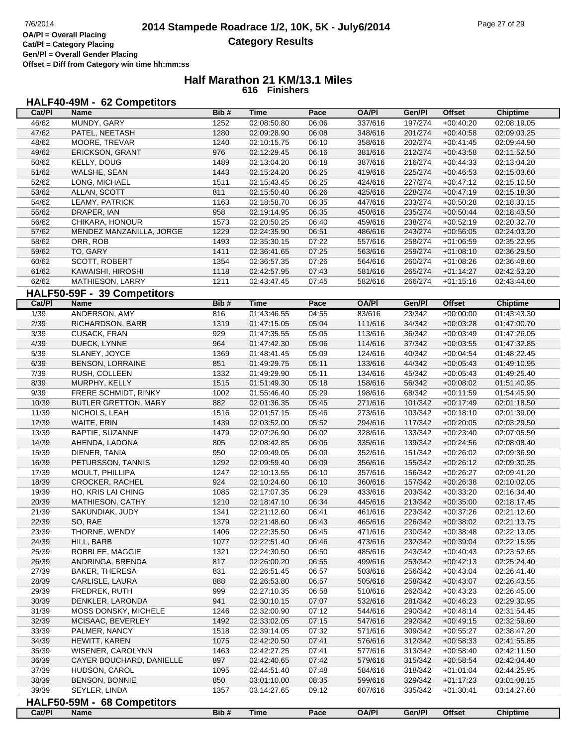**Gen/Pl = Overall Gender Placing Offset = Diff from Category win time hh:mm:ss**

### **Half Marathon 21 KM/13.1 Miles 616 Finishers**

#### **HALF40-49M - 62 Competitors**

| Cat/PI         | Name                        | Bib# | Time        | Pace  | <b>OA/PI</b> | Gen/Pl           | <b>Offset</b> | <b>Chiptime</b> |
|----------------|-----------------------------|------|-------------|-------|--------------|------------------|---------------|-----------------|
| 46/62          | MUNDY, GARY                 | 1252 | 02:08:50.80 | 06:06 | 337/616      | 197/274          | $+00:40:20$   | 02:08:19.05     |
| 47/62          | PATEL, NEETASH              | 1280 | 02:09:28.90 | 06:08 | 348/616      | 201/274          | $+00:40:58$   | 02:09:03.25     |
| 48/62          | MOORE, TREVAR               | 1240 | 02:10:15.75 | 06:10 | 358/616      | 202/274          | $+00:41:45$   | 02:09:44.90     |
| 49/62          | ERICKSON, GRANT             | 976  | 02:12:29.45 | 06:16 | 381/616      | 212/274          | $+00:43:58$   | 02:11:52.50     |
| 50/62          | <b>KELLY, DOUG</b>          | 1489 | 02:13:04.20 | 06:18 | 387/616      | 216/274          | $+00:44:33$   | 02:13:04.20     |
| 51/62          | WALSHE, SEAN                | 1443 | 02:15:24.20 | 06:25 | 419/616      | 225/274          | $+00:46:53$   | 02:15:03.60     |
| 52/62          | LONG, MICHAEL               | 1511 | 02:15:43.45 | 06:25 | 424/616      | 227/274          | $+00:47:12$   | 02:15:10.50     |
| 53/62          | ALLAN, SCOTT                | 811  | 02:15:50.40 | 06:26 | 425/616      | 228/274          | $+00:47:19$   | 02:15:18.30     |
| 54/62          | LEAMY, PATRICK              | 1163 | 02:18:58.70 | 06:35 | 447/616      | 233/274          | $+00:50:28$   | 02:18:33.15     |
| 55/62          | DRAPER, IAN                 | 958  | 02:19:14.95 | 06:35 | 450/616      | 235/274          | $+00:50:44$   | 02:18:43.50     |
| 56/62          | CHIKARA, HONOUR             | 1573 | 02:20:50.25 | 06:40 | 459/616      | 238/274          | $+00:52:19$   | 02:20:32.70     |
| 57/62          | MENDEZ MANZANILLA, JORGE    | 1229 | 02:24:35.90 | 06:51 | 486/616      | 243/274          | $+00:56:05$   | 02:24:03.20     |
| 58/62          | ORR, ROB                    | 1493 | 02:35:30.15 | 07:22 | 557/616      | 258/274          | $+01:06:59$   | 02:35:22.95     |
| 59/62          | TO, GARY                    | 1411 | 02:36:41.65 | 07:25 | 563/616      | 259/274          | $+01:08:10$   | 02:36:29.50     |
| 60/62          | SCOTT, ROBERT               | 1354 | 02:36:57.35 | 07:26 | 564/616      | 260/274          | $+01:08:26$   | 02:36:48.60     |
| 61/62          | KAWAISHI, HIROSHI           | 1118 | 02:42:57.95 | 07:43 | 581/616      | 265/274          | $+01:14:27$   | 02:42:53.20     |
| 62/62          | MATHIESON, LARRY            | 1211 | 02:43:47.45 | 07:45 | 582/616      | 266/274          | $+01:15:16$   | 02:43:44.60     |
|                | HALF50-59F - 39 Competitors |      |             |       |              |                  |               |                 |
| Cat/PI         | <b>Name</b>                 | Bib# | <b>Time</b> | Pace  | <b>OA/PI</b> | Gen/Pl           | Offset        | Chiptime        |
| $\frac{1}{39}$ | ANDERSON, AMY               | 816  |             | 04:55 | 83/616       | 23/342           | $+00:00:00$   | 01:43:43.30     |
|                |                             |      | 01:43:46.55 |       |              |                  |               |                 |
| 2/39           | RICHARDSON, BARB            | 1319 | 01:47:15.05 | 05:04 | 111/616      | 34/342           | $+00:03:28$   | 01:47:00.70     |
| 3/39           | <b>CUSACK, FRAN</b>         | 929  | 01:47:35.55 | 05:05 | 113/616      | 36/342           | $+00:03:49$   | 01:47:26.05     |
| 4/39           | DUECK, LYNNE                | 964  | 01:47:42.30 | 05:06 | 114/616      | 37/342<br>40/342 | $+00:03:55$   | 01:47:32.85     |
| 5/39           | SLANEY, JOYCE               | 1369 | 01:48:41.45 | 05:09 | 124/616      |                  | $+00:04:54$   | 01:48:22.45     |
| 6/39           | <b>BENSON, LORRAINE</b>     | 851  | 01:49:29.75 | 05:11 | 133/616      | 44/342           | $+00:05:43$   | 01:49:10.95     |
| 7/39           | RUSH, COLLEEN               | 1332 | 01:49:29.90 | 05:11 | 134/616      | 45/342           | $+00:05:43$   | 01:49:25.40     |
| 8/39           | MURPHY, KELLY               | 1515 | 01:51:49.30 | 05:18 | 158/616      | 56/342           | $+00:08:02$   | 01:51:40.95     |
| 9/39           | FRERE SCHMIDT, RINKY        | 1002 | 01:55:46.40 | 05:29 | 198/616      | 68/342           | $+00:11:59$   | 01:54:45.90     |
| 10/39          | BUTLER GRETTON, MARY        | 882  | 02:01:36.35 | 05:45 | 271/616      | 101/342          | $+00:17:49$   | 02:01:18.50     |
| 11/39          | NICHOLS, LEAH               | 1516 | 02:01:57.15 | 05:46 | 273/616      | 103/342          | $+00:18:10$   | 02:01:39.00     |
| 12/39          | WAITE, ERIN                 | 1439 | 02:03:52.00 | 05:52 | 294/616      | 117/342          | $+00:20:05$   | 02:03:29.50     |
| 13/39          | BAPTIE, SUZANNE             | 1479 | 02:07:26.90 | 06:02 | 328/616      | 133/342          | $+00:23:40$   | 02:07:05.50     |
| 14/39          | AHENDA, LADONA              | 805  | 02:08:42.85 | 06:06 | 335/616      | 139/342          | $+00:24:56$   | 02:08:08.40     |
| 15/39          | DIENER, TANIA               | 950  | 02:09:49.05 | 06:09 | 352/616      | 151/342          | $+00:26:02$   | 02:09:36.90     |
| 16/39          | PETURSSON, TANNIS           | 1292 | 02:09:59.40 | 06:09 | 356/616      | 155/342          | $+00:26:12$   | 02:09:30.35     |
| 17/39          | MOULT, PHILLIPA             | 1247 | 02:10:13.55 | 06:10 | 357/616      | 156/342          | $+00:26:27$   | 02:09:41.20     |
| 18/39          | CROCKER, RACHEL             | 924  | 02:10:24.60 | 06:10 | 360/616      | 157/342          | $+00:26:38$   | 02:10:02.05     |
| 19/39          | HO, KRIS LAI CHING          | 1085 | 02:17:07.35 | 06:29 | 433/616      | 203/342          | $+00:33:20$   | 02:16:34.40     |
| 20/39          | MATHIESON, CATHY            | 1210 | 02:18:47.10 | 06:34 | 445/616      | 213/342          | $+00:35:00$   | 02:18:17.45     |
| 21/39          | SAKUNDIAK, JUDY             | 1341 | 02:21:12.60 | 06:41 | 461/616      | 223/342          | $+00:37:26$   | 02:21:12.60     |
| 22/39          | SO, RAE                     | 1379 | 02:21:48.60 | 06:43 | 465/616      | 226/342          | $+00.38.02$   | 02:21:13.75     |
| 23/39          | THORNE, WENDY               | 1406 | 02:22:35.50 | 06:45 | 471/616      | 230/342          | $+00:38:48$   | 02:22:13.05     |
| 24/39          | HILL, BARB                  | 1077 | 02:22:51.40 | 06:46 | 473/616      | 232/342          | $+00:39:04$   | 02:22:15.95     |
| 25/39          | ROBBLEE, MAGGIE             | 1321 | 02:24:30.50 | 06:50 | 485/616      | 243/342          | $+00:40:43$   | 02:23:52.65     |
| 26/39          | ANDRINGA, BRENDA            | 817  | 02:26:00.20 | 06:55 | 499/616      | 253/342          | $+00:42:13$   | 02:25:24.40     |
| 27/39          | <b>BAKER, THERESA</b>       | 831  | 02:26:51.45 | 06:57 | 503/616      | 256/342          | $+00:43:04$   | 02:26:41.40     |
| 28/39          | CARLISLE, LAURA             | 888  | 02:26:53.80 | 06:57 | 505/616      | 258/342          | $+00:43:07$   | 02:26:43.55     |
| 29/39          | FREDREK, RUTH               | 999  | 02:27:10.35 | 06:58 | 510/616      | 262/342          | $+00:43:23$   | 02:26:45.00     |
| 30/39          | DENKLER, LARONDA            | 941  | 02:30:10.15 | 07:07 | 532/616      | 281/342          | $+00:46:23$   | 02:29:30.95     |
| 31/39          | MOSS DONSKY, MICHELE        | 1246 | 02:32:00.90 | 07:12 | 544/616      | 290/342          | $+00:48:14$   | 02:31:54.45     |
| 32/39          | MCISAAC, BEVERLEY           | 1492 | 02:33:02.05 | 07:15 | 547/616      | 292/342          | $+00:49:15$   | 02:32:59.60     |
| 33/39          | PALMER, NANCY               | 1518 | 02:39:14.05 | 07:32 | 571/616      | 309/342          | $+00:55:27$   | 02:38:47.20     |
| 34/39          | HEWITT, KAREN               | 1075 | 02:42:20.50 | 07:41 | 576/616      | 312/342          | $+00:58:33$   | 02:41:55.85     |
| 35/39          | WISENER, CAROLYNN           | 1463 | 02:42:27.25 | 07:41 | 577/616      | 313/342          | $+00:58:40$   | 02:42:11.50     |
| 36/39          | CAYER BOUCHARD, DANIELLE    | 897  | 02:42:40.65 | 07:42 | 579/616      | 315/342          | $+00:58:54$   | 02:42:04.40     |
| 37/39          | HUDSON, CAROL               | 1095 | 02:44:51.40 | 07:48 | 584/616      | 318/342          | $+01:01:04$   | 02:44:25.95     |
| 38/39          | <b>BENSON, BONNIE</b>       | 850  | 03:01:10.00 | 08:35 | 599/616      | 329/342          | $+01:17:23$   | 03:01:08.15     |
| 39/39          | SEYLER, LINDA               | 1357 | 03:14:27.65 | 09:12 | 607/616      | 335/342          | $+01:30:41$   | 03:14:27.60     |
|                | HALF50-59M - 68 Competitors |      |             |       |              |                  |               |                 |
| Cat/PI         | <b>Name</b>                 | Bib# | <b>Time</b> | Pace  | <b>OA/PI</b> | Gen/PI           | <b>Offset</b> | <b>Chiptime</b> |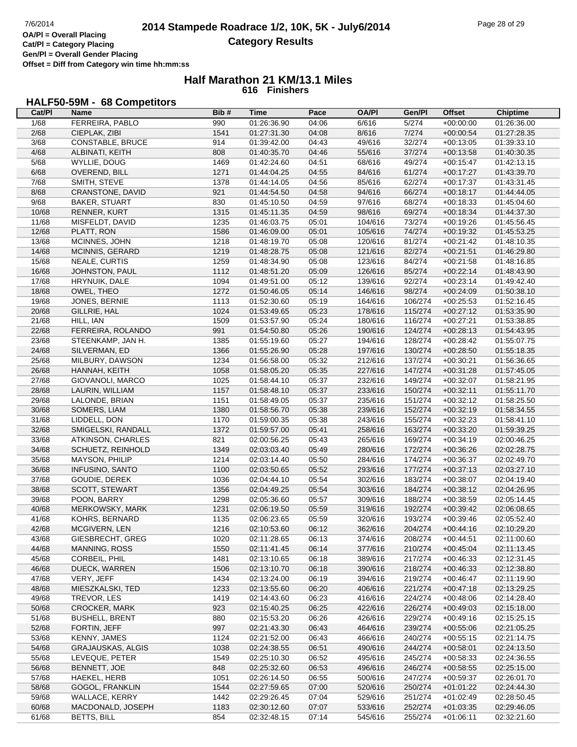**Cat/Pl = Category Placing Gen/Pl = Overall Gender Placing Offset = Diff from Category win time hh:mm:ss**

### **Half Marathon 21 KM/13.1 Miles 616 Finishers**

# **HALF50-59M - 68 Competitors**

| Cat/PI | Name                     | Bib# | <b>Time</b> | Pace  | <b>OA/PI</b> | Gen/Pl  | <b>Offset</b> | <b>Chiptime</b> |
|--------|--------------------------|------|-------------|-------|--------------|---------|---------------|-----------------|
| 1/68   | FERREIRA, PABLO          | 990  | 01:26:36.90 | 04:06 | 6/616        | 5/274   | $+00:00:00$   | 01:26:36.00     |
| 2/68   | CIEPLAK, ZIBI            | 1541 | 01:27:31.30 | 04:08 | 8/616        | 7/274   | $+00:00:54$   | 01:27:28.35     |
| 3/68   | <b>CONSTABLE, BRUCE</b>  | 914  | 01:39:42.00 | 04:43 | 49/616       | 32/274  | $+00:13:05$   | 01:39:33.10     |
| 4/68   | ALBINATI, KEITH          | 808  | 01:40:35.70 | 04:46 | 55/616       | 37/274  | $+00:13:58$   | 01:40:30.35     |
| 5/68   | WYLLIE, DOUG             | 1469 | 01:42:24.60 | 04:51 | 68/616       | 49/274  | $+00:15:47$   | 01:42:13.15     |
| 6/68   | OVEREND, BILL            | 1271 | 01:44:04.25 | 04:55 | 84/616       | 61/274  | $+00:17:27$   | 01:43:39.70     |
| 7/68   | SMITH, STEVE             | 1378 | 01:44:14.05 | 04:56 | 85/616       | 62/274  | $+00:17:37$   | 01:43:31.45     |
| 8/68   | CRANSTONE, DAVID         | 921  | 01:44:54.50 | 04:58 | 94/616       | 66/274  | $+00:18:17$   | 01:44:44.05     |
| 9/68   | <b>BAKER, STUART</b>     | 830  | 01:45:10.50 | 04:59 | 97/616       | 68/274  | $+00:18:33$   | 01:45:04.60     |
|        |                          |      |             |       |              |         |               |                 |
| 10/68  | RENNER, KURT             | 1315 | 01:45:11.35 | 04:59 | 98/616       | 69/274  | $+00:18:34$   | 01:44:37.30     |
| 11/68  | MISFELDT, DAVID          | 1235 | 01:46:03.75 | 05:01 | 104/616      | 73/274  | $+00:19:26$   | 01:45:56.45     |
| 12/68  | PLATT, RON               | 1586 | 01:46:09.00 | 05:01 | 105/616      | 74/274  | $+00:19:32$   | 01:45:53.25     |
| 13/68  | MCINNES, JOHN            | 1218 | 01:48:19.70 | 05:08 | 120/616      | 81/274  | $+00:21:42$   | 01:48:10.35     |
| 14/68  | MCINNIS, GERARD          | 1219 | 01:48:28.75 | 05:08 | 121/616      | 82/274  | $+00:21:51$   | 01:46:29.80     |
| 15/68  | <b>NEALE, CURTIS</b>     | 1259 | 01:48:34.90 | 05:08 | 123/616      | 84/274  | $+00:21:58$   | 01:48:16.85     |
| 16/68  | JOHNSTON, PAUL           | 1112 | 01:48:51.20 | 05:09 | 126/616      | 85/274  | $+00:22:14$   | 01:48:43.90     |
| 17/68  | HRYNUIK, DALE            | 1094 | 01:49:51.00 | 05:12 | 139/616      | 92/274  | $+00:23:14$   | 01:49:42.40     |
| 18/68  | OWEL, THEO               | 1272 | 01:50:46.05 | 05:14 | 146/616      | 98/274  | $+00:24:09$   | 01:50:38.10     |
| 19/68  | JONES, BERNIE            | 1113 | 01:52:30.60 | 05:19 | 164/616      | 106/274 | $+00:25:53$   | 01:52:16.45     |
| 20/68  | GILLRIE, HAL             | 1024 | 01:53:49.65 | 05:23 | 178/616      | 115/274 | $+00:27:12$   | 01:53:35.90     |
| 21/68  | HILL, IAN                | 1509 | 01:53:57.90 | 05:24 | 180/616      | 116/274 | $+00:27:21$   | 01:53:38.85     |
| 22/68  | FERREIRA, ROLANDO        | 991  | 01:54:50.80 | 05:26 | 190/616      | 124/274 | $+00:28:13$   | 01:54:43.95     |
| 23/68  | STEENKAMP, JAN H.        | 1385 | 01:55:19.60 | 05:27 | 194/616      | 128/274 | $+00:28:42$   | 01:55:07.75     |
| 24/68  | SILVERMAN, ED            | 1366 | 01:55:26.90 | 05:28 | 197/616      | 130/274 | $+00:28:50$   | 01:55:18.35     |
| 25/68  | MILBURY, DAWSON          | 1234 | 01:56:58.00 | 05:32 | 212/616      | 137/274 | $+00:30:21$   | 01:56:36.65     |
| 26/68  | HANNAH, KEITH            | 1058 | 01:58:05.20 | 05:35 | 227/616      | 147/274 | $+00:31:28$   | 01:57:45.05     |
| 27/68  | GIOVANOLI, MARCO         | 1025 | 01:58:44.10 | 05:37 | 232/616      | 149/274 | $+00:32:07$   | 01:58:21.95     |
| 28/68  | LAURIN, WILLIAM          | 1157 | 01:58:48.10 | 05:37 | 233/616      | 150/274 | $+00:32:11$   | 01:55:11.70     |
| 29/68  | LALONDE, BRIAN           | 1151 | 01:58:49.05 | 05:37 | 235/616      | 151/274 | $+00:32:12$   | 01:58:25.50     |
| 30/68  | SOMERS, LIAM             | 1380 | 01:58:56.70 | 05:38 | 239/616      | 152/274 | $+00:32:19$   | 01:58:34.55     |
| 31/68  | LIDDELL, DON             | 1170 | 01:59:00.35 | 05:38 | 243/616      | 155/274 | $+00:32:23$   | 01:58:41.10     |
| 32/68  | SMIGELSKI, RANDALL       | 1372 | 01:59:57.00 | 05:41 | 258/616      | 163/274 | $+00:33:20$   | 01:59:39.25     |
|        |                          | 821  |             |       |              | 169/274 |               |                 |
| 33/68  | ATKINSON, CHARLES        |      | 02:00:56.25 | 05:43 | 265/616      |         | $+00:34:19$   | 02:00:46.25     |
| 34/68  | SCHUETZ, REINHOLD        | 1349 | 02:03:03.40 | 05:49 | 280/616      | 172/274 | $+00:36:26$   | 02:02:28.75     |
| 35/68  | MAYSON, PHILIP           | 1214 | 02:03:14.40 | 05:50 | 284/616      | 174/274 | $+00:36:37$   | 02:02:49.70     |
| 36/68  | <b>INFUSINO, SANTO</b>   | 1100 | 02:03:50.65 | 05:52 | 293/616      | 177/274 | $+00:37:13$   | 02:03:27.10     |
| 37/68  | GOUDIE, DEREK            | 1036 | 02:04:44.10 | 05:54 | 302/616      | 183/274 | $+00:38:07$   | 02:04:19.40     |
| 38/68  | SCOTT, STEWART           | 1356 | 02:04:49.25 | 05:54 | 303/616      | 184/274 | $+00:38:12$   | 02:04:26.95     |
| 39/68  | POON, BARRY              | 1298 | 02:05:36.60 | 05:57 | 309/616      | 188/274 | $+00:38:59$   | 02:05:14.45     |
| 40/68  | MERKOWSKY, MARK          | 1231 | 02:06:19.50 | 05:59 | 319/616      | 192/274 | $+00:39:42$   | 02:06:08.65     |
| 41/68  | KOHRS, BERNARD           | 1135 | 02:06:23.65 | 05:59 | 320/616      | 193/274 | $+00:39:46$   | 02:05:52.40     |
| 42/68  | MCGIVERN, LEN            | 1216 | 02:10:53.60 | 06:12 | 362/616      | 204/274 | $+00:44:16$   | 02:10:29.20     |
| 43/68  | GIESBRECHT, GREG         | 1020 | 02:11:28.65 | 06:13 | 374/616      | 208/274 | $+00:44:51$   | 02:11:00.60     |
| 44/68  | MANNING, ROSS            | 1550 | 02:11:41.45 | 06:14 | 377/616      | 210/274 | $+00:45:04$   | 02:11:13.45     |
| 45/68  | CORBEIL, PHIL            | 1481 | 02:13:10.65 | 06:18 | 389/616      | 217/274 | $+00:46:33$   | 02:12:31.45     |
| 46/68  | DUECK, WARREN            | 1506 | 02:13:10.70 | 06:18 | 390/616      | 218/274 | $+00:46:33$   | 02:12:38.80     |
| 47/68  | VERY, JEFF               | 1434 | 02:13:24.00 | 06:19 | 394/616      | 219/274 | $+00:46:47$   | 02:11:19.90     |
| 48/68  | MIESZKALSKI, TED         | 1233 | 02:13:55.60 | 06:20 | 406/616      | 221/274 | $+00:47:18$   | 02:13:29.25     |
| 49/68  | TREVOR, LES              | 1419 | 02:14:43.60 | 06:23 | 416/616      | 224/274 | $+00:48:06$   | 02:14:28.40     |
| 50/68  | <b>CROCKER, MARK</b>     | 923  | 02:15:40.25 | 06:25 | 422/616      | 226/274 | $+00:49:03$   | 02:15:18.00     |
| 51/68  | <b>BUSHELL, BRENT</b>    | 880  | 02:15:53.20 | 06:26 | 426/616      | 229/274 | $+00:49:16$   | 02:15:25.15     |
| 52/68  | FORTIN, JEFF             | 997  | 02:21:43.30 | 06:43 | 464/616      | 239/274 | $+00:55:06$   | 02:21:05.25     |
| 53/68  | KENNY, JAMES             | 1124 | 02:21:52.00 | 06:43 | 466/616      | 240/274 | $+00:55:15$   | 02:21:14.75     |
| 54/68  | <b>GRAJAUSKAS, ALGIS</b> | 1038 | 02:24:38.55 | 06:51 | 490/616      | 244/274 | $+00:58:01$   | 02:24:13.50     |
| 55/68  | LEVEQUE, PETER           | 1549 | 02:25:10.30 | 06:52 | 495/616      | 245/274 | $+00:58:33$   | 02:24:36.55     |
| 56/68  | BENNETT, JOE             | 848  | 02:25:32.60 | 06:53 | 496/616      | 246/274 | $+00:58:55$   | 02:25:15.00     |
| 57/68  | HAEKEL, HERB             | 1051 | 02:26:14.50 | 06:55 | 500/616      | 247/274 | $+00:59:37$   | 02:26:01.70     |
| 58/68  | <b>GOGOL, FRANKLIN</b>   | 1544 | 02:27:59.65 | 07:00 | 520/616      | 250/274 | $+01:01:22$   | 02:24:44.30     |
| 59/68  | WALLACE, KERRY           | 1442 | 02:29:26.45 | 07:04 | 529/616      | 251/274 | $+01:02:49$   | 02:28:50.45     |
| 60/68  | MACDONALD, JOSEPH        | 1183 | 02:30:12.60 | 07:07 | 533/616      | 252/274 | $+01:03:35$   | 02:29:46.05     |
|        |                          |      |             |       |              |         |               |                 |
| 61/68  | <b>BETTS, BILL</b>       | 854  | 02:32:48.15 | 07:14 | 545/616      | 255/274 | $+01:06:11$   | 02:32:21.60     |